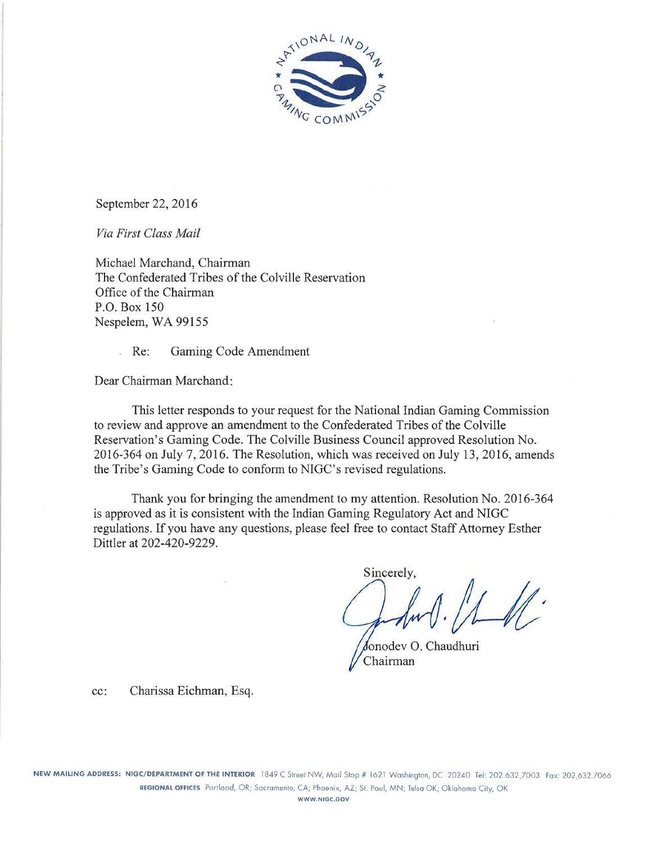

September 22, 2016

Via First Class Mail

Michael Marchand, Chairman The Confederated Tribes of the Colville Reservation Office of the Chairman P.O. Box 150 Nespelem, WA 99155

> Gaming Code Amendment  $Re:$

Dear Chairman Marchand:

This letter responds to your request for the National Indian Gaming Commission to review and approve an amendment to the Confederated Tribes of the Colville Reservation's Gaming Code. The Colville Business Council approved Resolution No. 2016-364 on July 7, 2016. The Resolution, which was received on July 13, 2016, amends the Tribe's Gaming Code to conform to NIGC's revised regulations.

Thank you for bringing the amendment to my attention. Resolution No. 2016-364 is approved as it is consistent with the Indian Gaming Regulatory Act and NIGC regulations. If you have any questions, please feel free to contact Staff Attorney Esther Dittler at 202-420-9229.

Sincerely,

Jonodey O. Chaudhuri Chairman

cc: Charissa Eichman, Esq.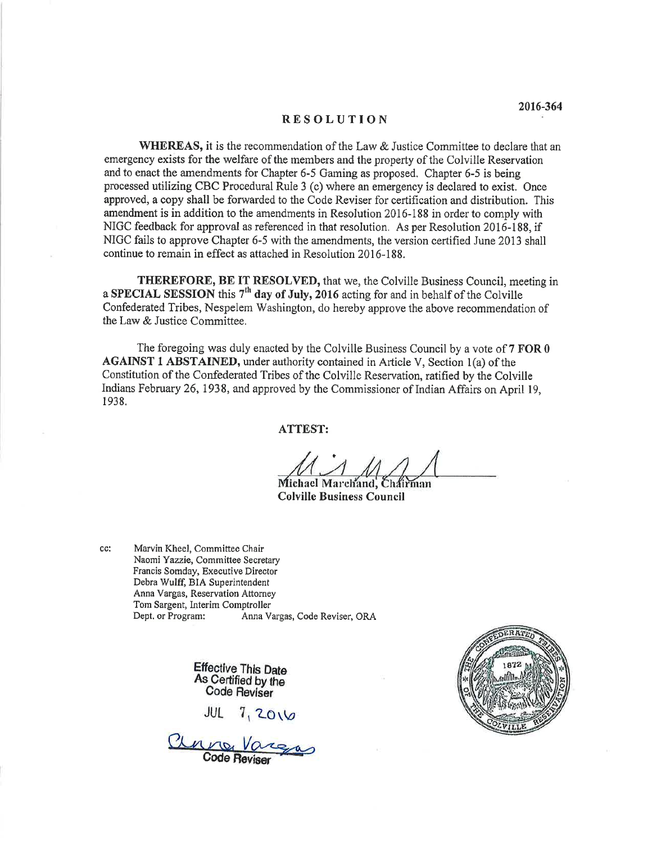### **RESOLUTION**

**WHEREAS**, it is the recommendation of the Law & Justice Committee to declare that an emergency exists for the welfare of the members and the property of the Colville Reservation and to enact the amendments for Chapter 6-5 Gaming as proposed. Chapter 6-5 is being processed utilizing CBC Procedural Rule 3 (c) where an emergency is declared to exist. Once approved, a copy shall be forwarded to the Code Reviser for certification and distribution. This amendment is in addition to the amendments in Resolution 2016-188 in order to comply with NIGC feedback for approval as referenced in that resolution. As per Resolution 2016-188, if NIGC fails to approve Chapter 6-5 with the amendments, the version certified June 2013 shall continue to remain in effect as attached in Resolution 2016-188.

THEREFORE, BE IT RESOLVED, that we, the Colville Business Council, meeting in a SPECIAL SESSION this  $7<sup>th</sup>$  day of July, 2016 acting for and in behalf of the Colville Confederated Tribes, Nespelem Washington, do hereby approve the above recommendation of the Law & Justice Committee.

The foregoing was duly enacted by the Colville Business Council by a vote of 7 FOR 0 **AGAINST 1 ABSTAINED, under authority contained in Article V, Section 1(a) of the** Constitution of the Confederated Tribes of the Colville Reservation, ratified by the Colville Indians February 26, 1938, and approved by the Commissioner of Indian Affairs on April 19, 1938.

**ATTEST:** 

Michael Marchand, Chairman **Colville Business Council** 

Marvin Kheel, Committee Chair Naomi Yazzie, Committee Secretary Francis Somday, Executive Director Debra Wulff, BIA Superintendent Anna Vargas, Reservation Attorney Tom Sargent, Interim Comptroller Dept. or Program: Anna Vargas, Code Reviser, ORA

cc:

Effective This Date As Certified by the Code Reviser

 $7,2016$ JUL

Clara Vargas

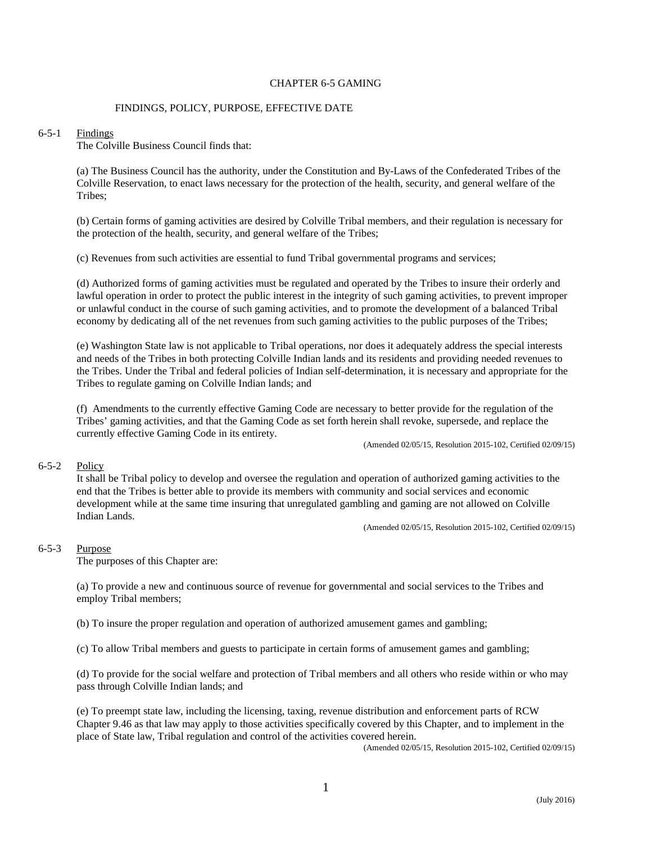# CHAPTER 6-5 GAMING

# FINDINGS, POLICY, PURPOSE, EFFECTIVE DATE

### 6-5-1 Findings

The Colville Business Council finds that:

(a) The Business Council has the authority, under the Constitution and By-Laws of the Confederated Tribes of the Colville Reservation, to enact laws necessary for the protection of the health, security, and general welfare of the Tribes;

(b) Certain forms of gaming activities are desired by Colville Tribal members, and their regulation is necessary for the protection of the health, security, and general welfare of the Tribes;

(c) Revenues from such activities are essential to fund Tribal governmental programs and services;

(d) Authorized forms of gaming activities must be regulated and operated by the Tribes to insure their orderly and lawful operation in order to protect the public interest in the integrity of such gaming activities, to prevent improper or unlawful conduct in the course of such gaming activities, and to promote the development of a balanced Tribal economy by dedicating all of the net revenues from such gaming activities to the public purposes of the Tribes;

(e) Washington State law is not applicable to Tribal operations, nor does it adequately address the special interests and needs of the Tribes in both protecting Colville Indian lands and its residents and providing needed revenues to the Tribes. Under the Tribal and federal policies of Indian self-determination, it is necessary and appropriate for the Tribes to regulate gaming on Colville Indian lands; and

(f) Amendments to the currently effective Gaming Code are necessary to better provide for the regulation of the Tribes' gaming activities, and that the Gaming Code as set forth herein shall revoke, supersede, and replace the currently effective Gaming Code in its entirety. (Amended 02/05/15, Resolution 2015-102, Certified 02/09/15)

### 6-5-2 Policy

It shall be Tribal policy to develop and oversee the regulation and operation of authorized gaming activities to the end that the Tribes is better able to provide its members with community and social services and economic development while at the same time insuring that unregulated gambling and gaming are not allowed on Colville Indian Lands.

(Amended 02/05/15, Resolution 2015-102, Certified 02/09/15)

### 6-5-3 Purpose

The purposes of this Chapter are:

(a) To provide a new and continuous source of revenue for governmental and social services to the Tribes and employ Tribal members;

(b) To insure the proper regulation and operation of authorized amusement games and gambling;

(c) To allow Tribal members and guests to participate in certain forms of amusement games and gambling;

(d) To provide for the social welfare and protection of Tribal members and all others who reside within or who may pass through Colville Indian lands; and

(e) To preempt state law, including the licensing, taxing, revenue distribution and enforcement parts of RCW Chapter 9.46 as that law may apply to those activities specifically covered by this Chapter, and to implement in the place of State law, Tribal regulation and control of the activities covered herein.

(Amended 02/05/15, Resolution 2015-102, Certified 02/09/15)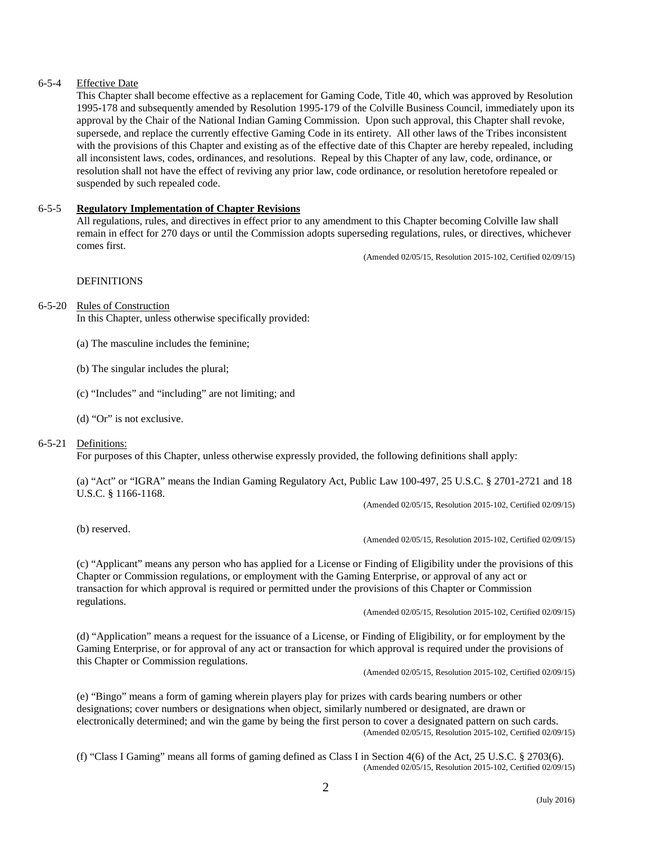# 6-5-4 Effective Date

This Chapter shall become effective as a replacement for Gaming Code, Title 40, which was approved by Resolution 1995-178 and subsequently amended by Resolution 1995-179 of the Colville Business Council, immediately upon its approval by the Chair of the National Indian Gaming Commission. Upon such approval, this Chapter shall revoke, supersede, and replace the currently effective Gaming Code in its entirety. All other laws of the Tribes inconsistent with the provisions of this Chapter and existing as of the effective date of this Chapter are hereby repealed, including all inconsistent laws, codes, ordinances, and resolutions. Repeal by this Chapter of any law, code, ordinance, or resolution shall not have the effect of reviving any prior law, code ordinance, or resolution heretofore repealed or suspended by such repealed code.

## 6-5-5 **Regulatory Implementation of Chapter Revisions**

All regulations, rules, and directives in effect prior to any amendment to this Chapter becoming Colville law shall remain in effect for 270 days or until the Commission adopts superseding regulations, rules, or directives, whichever comes first.

(Amended 02/05/15, Resolution 2015-102, Certified 02/09/15)

# **DEFINITIONS**

### 6-5-20 Rules of Construction

In this Chapter, unless otherwise specifically provided:

- (a) The masculine includes the feminine;
- (b) The singular includes the plural;
- (c) "Includes" and "including" are not limiting; and
- (d) "Or" is not exclusive.

### 6-5-21 Definitions:

For purposes of this Chapter, unless otherwise expressly provided, the following definitions shall apply:

(a) "Act" or "IGRA" means the Indian Gaming Regulatory Act, Public Law 100-497, 25 U.S.C. § 2701-2721 and 18 U.S.C. § 1166-1168.

(Amended 02/05/15, Resolution 2015-102, Certified 02/09/15)

(b) reserved.

#### (Amended 02/05/15, Resolution 2015-102, Certified 02/09/15)

(c) "Applicant" means any person who has applied for a License or Finding of Eligibility under the provisions of this Chapter or Commission regulations, or employment with the Gaming Enterprise, or approval of any act or transaction for which approval is required or permitted under the provisions of this Chapter or Commission regulations.

(Amended 02/05/15, Resolution 2015-102, Certified 02/09/15)

(d) "Application" means a request for the issuance of a License, or Finding of Eligibility, or for employment by the Gaming Enterprise, or for approval of any act or transaction for which approval is required under the provisions of this Chapter or Commission regulations.

(Amended 02/05/15, Resolution 2015-102, Certified 02/09/15)

(e) "Bingo" means a form of gaming wherein players play for prizes with cards bearing numbers or other designations; cover numbers or designations when object, similarly numbered or designated, are drawn or electronically determined; and win the game by being the first person to cover a designated pattern on such cards. (Amended 02/05/15, Resolution 2015-102, Certified 02/09/15)

(f) "Class I Gaming" means all forms of gaming defined as Class I in Section 4(6) of the Act, 25 U.S.C. § 2703(6). (Amended 02/05/15, Resolution 2015-102, Certified 02/09/15)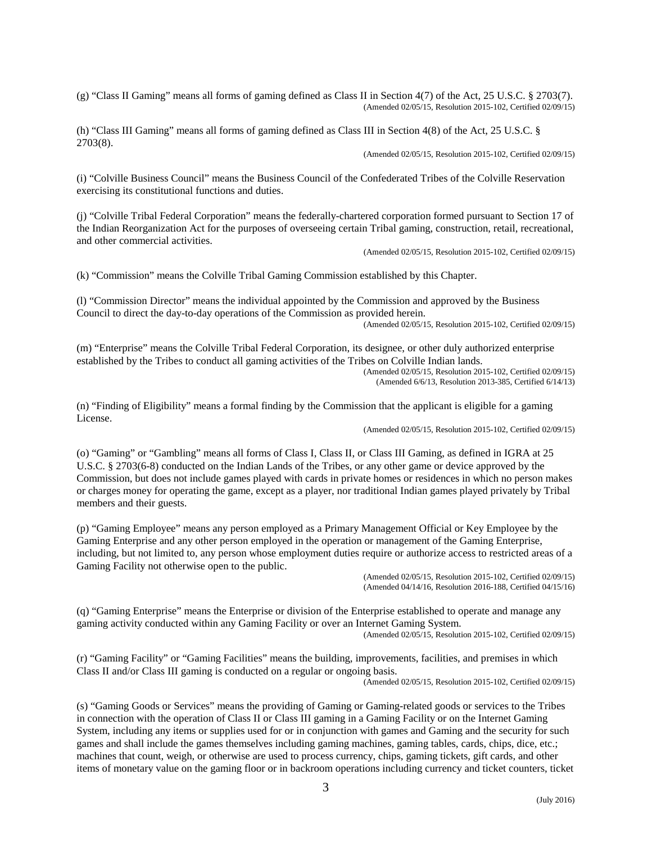(g) "Class II Gaming" means all forms of gaming defined as Class II in Section 4(7) of the Act, 25 U.S.C. § 2703(7). (Amended 02/05/15, Resolution 2015-102, Certified 02/09/15)

(h) "Class III Gaming" means all forms of gaming defined as Class III in Section 4(8) of the Act, 25 U.S.C. § 2703(8).

(Amended 02/05/15, Resolution 2015-102, Certified 02/09/15)

(i) "Colville Business Council" means the Business Council of the Confederated Tribes of the Colville Reservation exercising its constitutional functions and duties.

(j) "Colville Tribal Federal Corporation" means the federally-chartered corporation formed pursuant to Section 17 of the Indian Reorganization Act for the purposes of overseeing certain Tribal gaming, construction, retail, recreational, and other commercial activities.

(Amended 02/05/15, Resolution 2015-102, Certified 02/09/15)

(k) "Commission" means the Colville Tribal Gaming Commission established by this Chapter.

(l) "Commission Director" means the individual appointed by the Commission and approved by the Business Council to direct the day-to-day operations of the Commission as provided herein. (Amended 02/05/15, Resolution 2015-102, Certified 02/09/15)

(m) "Enterprise" means the Colville Tribal Federal Corporation, its designee, or other duly authorized enterprise established by the Tribes to conduct all gaming activities of the Tribes on Colville Indian lands. (Amended 02/05/15, Resolution 2015-102, Certified 02/09/15)

(Amended 6/6/13, Resolution 2013-385, Certified 6/14/13)

(n) "Finding of Eligibility" means a formal finding by the Commission that the applicant is eligible for a gaming License.

(Amended 02/05/15, Resolution 2015-102, Certified 02/09/15)

(o) "Gaming" or "Gambling" means all forms of Class I, Class II, or Class III Gaming, as defined in IGRA at 25 U.S.C. § 2703(6-8) conducted on the Indian Lands of the Tribes, or any other game or device approved by the Commission, but does not include games played with cards in private homes or residences in which no person makes or charges money for operating the game, except as a player, nor traditional Indian games played privately by Tribal members and their guests.

(p) "Gaming Employee" means any person employed as a Primary Management Official or Key Employee by the Gaming Enterprise and any other person employed in the operation or management of the Gaming Enterprise, including, but not limited to, any person whose employment duties require or authorize access to restricted areas of a Gaming Facility not otherwise open to the public.

(Amended 02/05/15, Resolution 2015-102, Certified 02/09/15) (Amended 04/14/16, Resolution 2016-188, Certified 04/15/16)

(q) "Gaming Enterprise" means the Enterprise or division of the Enterprise established to operate and manage any gaming activity conducted within any Gaming Facility or over an Internet Gaming System.

(Amended 02/05/15, Resolution 2015-102, Certified 02/09/15)

(r) "Gaming Facility" or "Gaming Facilities" means the building, improvements, facilities, and premises in which Class II and/or Class III gaming is conducted on a regular or ongoing basis.

(Amended 02/05/15, Resolution 2015-102, Certified 02/09/15)

(s) "Gaming Goods or Services" means the providing of Gaming or Gaming-related goods or services to the Tribes in connection with the operation of Class II or Class III gaming in a Gaming Facility or on the Internet Gaming System, including any items or supplies used for or in conjunction with games and Gaming and the security for such games and shall include the games themselves including gaming machines, gaming tables, cards, chips, dice, etc.; machines that count, weigh, or otherwise are used to process currency, chips, gaming tickets, gift cards, and other items of monetary value on the gaming floor or in backroom operations including currency and ticket counters, ticket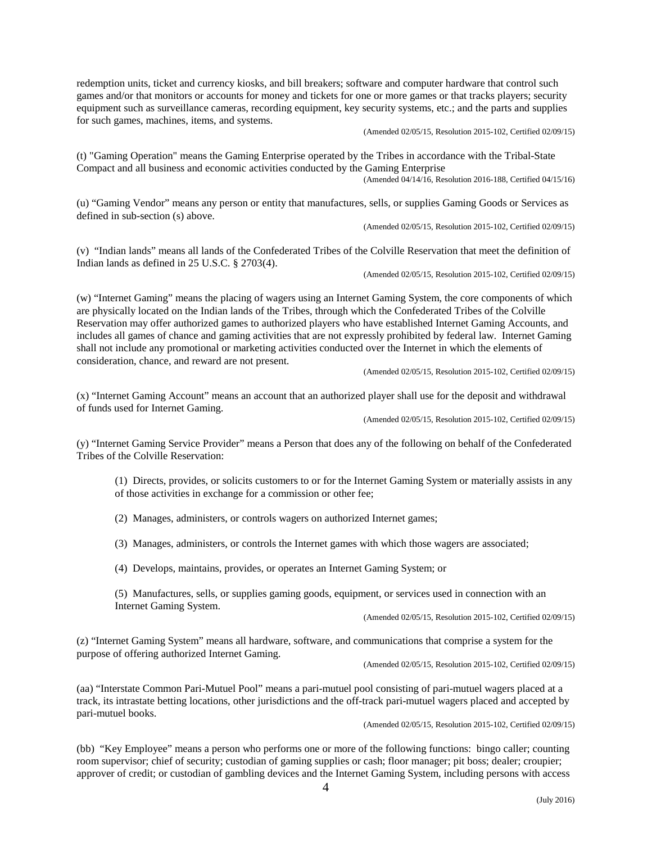redemption units, ticket and currency kiosks, and bill breakers; software and computer hardware that control such games and/or that monitors or accounts for money and tickets for one or more games or that tracks players; security equipment such as surveillance cameras, recording equipment, key security systems, etc.; and the parts and supplies for such games, machines, items, and systems. (Amended 02/05/15, Resolution 2015-102, Certified 02/09/15)

(t) "Gaming Operation" means the Gaming Enterprise operated by the Tribes in accordance with the Tribal-State Compact and all business and economic activities conducted by the Gaming Enterprise (Amended 04/14/16, Resolution 2016-188, Certified 04/15/16)

(u) "Gaming Vendor" means any person or entity that manufactures, sells, or supplies Gaming Goods or Services as defined in sub-section (s) above.

(Amended 02/05/15, Resolution 2015-102, Certified 02/09/15)

(v) "Indian lands" means all lands of the Confederated Tribes of the Colville Reservation that meet the definition of Indian lands as defined in 25 U.S.C. § 2703(4).

(Amended 02/05/15, Resolution 2015-102, Certified 02/09/15)

(w) "Internet Gaming" means the placing of wagers using an Internet Gaming System, the core components of which are physically located on the Indian lands of the Tribes, through which the Confederated Tribes of the Colville Reservation may offer authorized games to authorized players who have established Internet Gaming Accounts, and includes all games of chance and gaming activities that are not expressly prohibited by federal law. Internet Gaming shall not include any promotional or marketing activities conducted over the Internet in which the elements of consideration, chance, and reward are not present. (Amended 02/05/15, Resolution 2015-102, Certified 02/09/15)

(x) "Internet Gaming Account" means an account that an authorized player shall use for the deposit and withdrawal of funds used for Internet Gaming.

(Amended 02/05/15, Resolution 2015-102, Certified 02/09/15)

(y) "Internet Gaming Service Provider" means a Person that does any of the following on behalf of the Confederated Tribes of the Colville Reservation:

(1) Directs, provides, or solicits customers to or for the Internet Gaming System or materially assists in any of those activities in exchange for a commission or other fee;

(2) Manages, administers, or controls wagers on authorized Internet games;

(3) Manages, administers, or controls the Internet games with which those wagers are associated;

(4) Develops, maintains, provides, or operates an Internet Gaming System; or

(5) Manufactures, sells, or supplies gaming goods, equipment, or services used in connection with an Internet Gaming System.<br>
(Amended 02/05/15, Resolution 2015-102, Certified 02/09/15)

(z) "Internet Gaming System" means all hardware, software, and communications that comprise a system for the purpose of offering authorized Internet Gaming.

(Amended 02/05/15, Resolution 2015-102, Certified 02/09/15)

(aa) "Interstate Common Pari-Mutuel Pool" means a pari-mutuel pool consisting of pari-mutuel wagers placed at a track, its intrastate betting locations, other jurisdictions and the off-track pari-mutuel wagers placed and accepted by pari-mutuel books.

(Amended 02/05/15, Resolution 2015-102, Certified 02/09/15)

(bb) "Key Employee" means a person who performs one or more of the following functions: bingo caller; counting room supervisor; chief of security; custodian of gaming supplies or cash; floor manager; pit boss; dealer; croupier; approver of credit; or custodian of gambling devices and the Internet Gaming System, including persons with access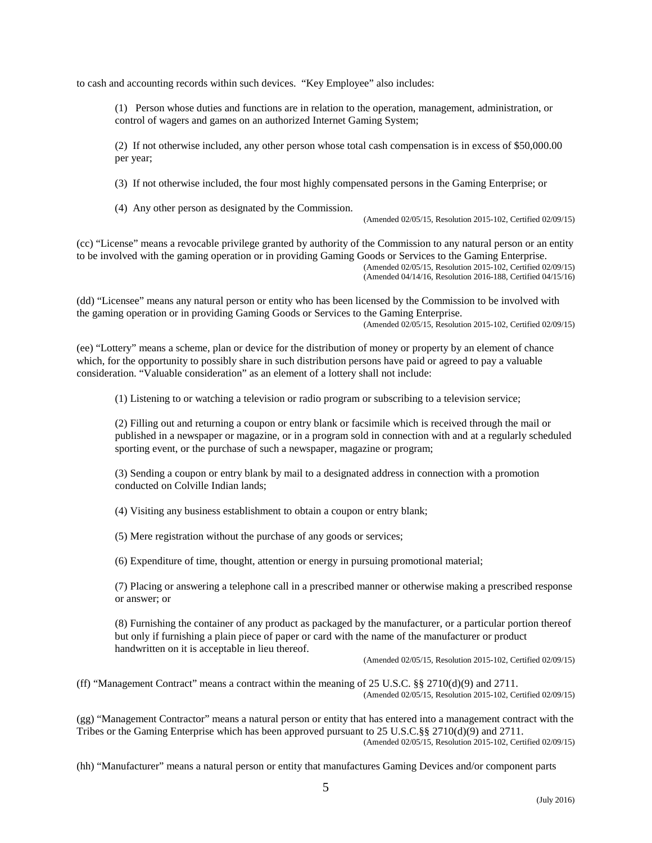to cash and accounting records within such devices. "Key Employee" also includes:

(1) Person whose duties and functions are in relation to the operation, management, administration, or control of wagers and games on an authorized Internet Gaming System;

(2) If not otherwise included, any other person whose total cash compensation is in excess of \$50,000.00 per year;

(3) If not otherwise included, the four most highly compensated persons in the Gaming Enterprise; or

(4) Any other person as designated by the Commission.

(Amended 02/05/15, Resolution 2015-102, Certified 02/09/15)

(cc) "License" means a revocable privilege granted by authority of the Commission to any natural person or an entity to be involved with the gaming operation or in providing Gaming Goods or Services to the Gaming Enterprise. (Amended 02/05/15, Resolution 2015-102, Certified 02/09/15) (Amended 04/14/16, Resolution 2016-188, Certified 04/15/16)

(dd) "Licensee" means any natural person or entity who has been licensed by the Commission to be involved with the gaming operation or in providing Gaming Goods or Services to the Gaming Enterprise. (Amended 02/05/15, Resolution 2015-102, Certified 02/09/15)

(ee) "Lottery" means a scheme, plan or device for the distribution of money or property by an element of chance which, for the opportunity to possibly share in such distribution persons have paid or agreed to pay a valuable consideration. "Valuable consideration" as an element of a lottery shall not include:

(1) Listening to or watching a television or radio program or subscribing to a television service;

(2) Filling out and returning a coupon or entry blank or facsimile which is received through the mail or published in a newspaper or magazine, or in a program sold in connection with and at a regularly scheduled sporting event, or the purchase of such a newspaper, magazine or program;

(3) Sending a coupon or entry blank by mail to a designated address in connection with a promotion conducted on Colville Indian lands;

(4) Visiting any business establishment to obtain a coupon or entry blank;

(5) Mere registration without the purchase of any goods or services;

(6) Expenditure of time, thought, attention or energy in pursuing promotional material;

(7) Placing or answering a telephone call in a prescribed manner or otherwise making a prescribed response or answer; or

(8) Furnishing the container of any product as packaged by the manufacturer, or a particular portion thereof but only if furnishing a plain piece of paper or card with the name of the manufacturer or product handwritten on it is acceptable in lieu thereof.

(Amended 02/05/15, Resolution 2015-102, Certified 02/09/15)

(ff) "Management Contract" means a contract within the meaning of 25 U.S.C. §§ 2710(d)(9) and 2711. (Amended 02/05/15, Resolution 2015-102, Certified 02/09/15)

(gg) "Management Contractor" means a natural person or entity that has entered into a management contract with the Tribes or the Gaming Enterprise which has been approved pursuant to 25 U.S.C.§§ 2710(d)(9) and 2711. (Amended 02/05/15, Resolution 2015-102, Certified 02/09/15)

(hh) "Manufacturer" means a natural person or entity that manufactures Gaming Devices and/or component parts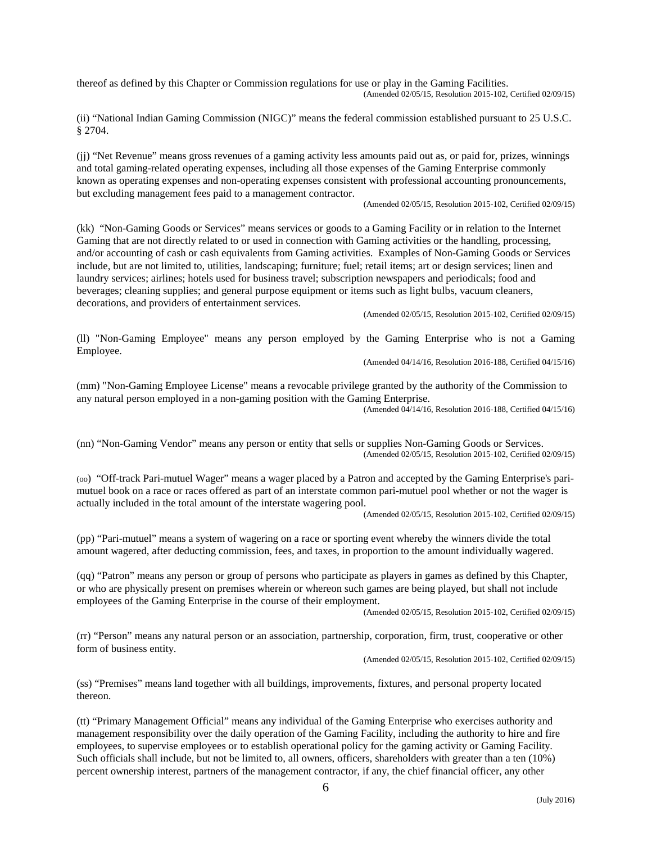thereof as defined by this Chapter or Commission regulations for use or play in the Gaming Facilities. (Amended 02/05/15, Resolution 2015-102, Certified 02/09/15)

(ii) "National Indian Gaming Commission (NIGC)" means the federal commission established pursuant to 25 U.S.C. § 2704.

(jj) "Net Revenue" means gross revenues of a gaming activity less amounts paid out as, or paid for, prizes, winnings and total gaming-related operating expenses, including all those expenses of the Gaming Enterprise commonly known as operating expenses and non-operating expenses consistent with professional accounting pronouncements, but excluding management fees paid to a management contractor.

(Amended 02/05/15, Resolution 2015-102, Certified 02/09/15)

(kk) "Non-Gaming Goods or Services" means services or goods to a Gaming Facility or in relation to the Internet Gaming that are not directly related to or used in connection with Gaming activities or the handling, processing, and/or accounting of cash or cash equivalents from Gaming activities. Examples of Non-Gaming Goods or Services include, but are not limited to, utilities, landscaping; furniture; fuel; retail items; art or design services; linen and laundry services; airlines; hotels used for business travel; subscription newspapers and periodicals; food and beverages; cleaning supplies; and general purpose equipment or items such as light bulbs, vacuum cleaners, decorations, and providers of entertainment services.<br>(Amended 02/05/15, Resolution 2015-102, Certified 02/09/15)

(ll) "Non-Gaming Employee" means any person employed by the Gaming Enterprise who is not a Gaming Employee.

(Amended 04/14/16, Resolution 2016-188, Certified 04/15/16)

(mm) "Non-Gaming Employee License" means a revocable privilege granted by the authority of the Commission to any natural person employed in a non-gaming position with the Gaming Enterprise. (Amended 04/14/16, Resolution 2016-188, Certified 04/15/16)

(nn) "Non-Gaming Vendor" means any person or entity that sells or supplies Non-Gaming Goods or Services. (Amended 02/05/15, Resolution 2015-102, Certified 02/09/15)

(oo) "Off-track Pari-mutuel Wager" means a wager placed by a Patron and accepted by the Gaming Enterprise's parimutuel book on a race or races offered as part of an interstate common pari-mutuel pool whether or not the wager is actually included in the total amount of the interstate wagering pool.

(Amended 02/05/15, Resolution 2015-102, Certified 02/09/15)

(pp) "Pari-mutuel" means a system of wagering on a race or sporting event whereby the winners divide the total amount wagered, after deducting commission, fees, and taxes, in proportion to the amount individually wagered.

(qq) "Patron" means any person or group of persons who participate as players in games as defined by this Chapter, or who are physically present on premises wherein or whereon such games are being played, but shall not include employees of the Gaming Enterprise in the course of their employment.

(Amended 02/05/15, Resolution 2015-102, Certified 02/09/15)

(rr) "Person" means any natural person or an association, partnership, corporation, firm, trust, cooperative or other form of business entity.

(Amended 02/05/15, Resolution 2015-102, Certified 02/09/15)

(ss) "Premises" means land together with all buildings, improvements, fixtures, and personal property located thereon.

(tt) "Primary Management Official" means any individual of the Gaming Enterprise who exercises authority and management responsibility over the daily operation of the Gaming Facility, including the authority to hire and fire employees, to supervise employees or to establish operational policy for the gaming activity or Gaming Facility. Such officials shall include, but not be limited to, all owners, officers, shareholders with greater than a ten (10%) percent ownership interest, partners of the management contractor, if any, the chief financial officer, any other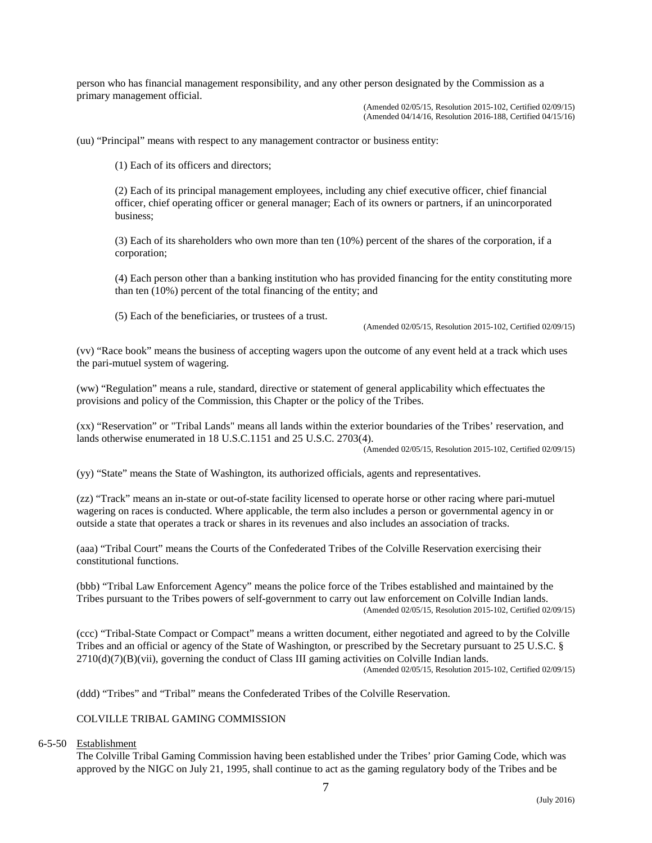person who has financial management responsibility, and any other person designated by the Commission as a primary management official.

> (Amended 02/05/15, Resolution 2015-102, Certified 02/09/15) (Amended 04/14/16, Resolution 2016-188, Certified 04/15/16)

(uu) "Principal" means with respect to any management contractor or business entity:

(1) Each of its officers and directors;

(2) Each of its principal management employees, including any chief executive officer, chief financial officer, chief operating officer or general manager; Each of its owners or partners, if an unincorporated business;

(3) Each of its shareholders who own more than ten (10%) percent of the shares of the corporation, if a corporation;

(4) Each person other than a banking institution who has provided financing for the entity constituting more than ten (10%) percent of the total financing of the entity; and

(5) Each of the beneficiaries, or trustees of a trust.

(Amended 02/05/15, Resolution 2015-102, Certified 02/09/15)

(vv) "Race book" means the business of accepting wagers upon the outcome of any event held at a track which uses the pari-mutuel system of wagering.

(ww) "Regulation" means a rule, standard, directive or statement of general applicability which effectuates the provisions and policy of the Commission, this Chapter or the policy of the Tribes.

(xx) "Reservation" or "Tribal Lands" means all lands within the exterior boundaries of the Tribes' reservation, and lands otherwise enumerated in 18 U.S.C.1151 and 25 U.S.C. 2703(4).

(Amended 02/05/15, Resolution 2015-102, Certified 02/09/15)

(yy) "State" means the State of Washington, its authorized officials, agents and representatives.

(zz) "Track" means an in-state or out-of-state facility licensed to operate horse or other racing where pari-mutuel wagering on races is conducted. Where applicable, the term also includes a person or governmental agency in or outside a state that operates a track or shares in its revenues and also includes an association of tracks.

(aaa) "Tribal Court" means the Courts of the Confederated Tribes of the Colville Reservation exercising their constitutional functions.

(bbb) "Tribal Law Enforcement Agency" means the police force of the Tribes established and maintained by the Tribes pursuant to the Tribes powers of self-government to carry out law enforcement on Colville Indian lands. (Amended 02/05/15, Resolution 2015-102, Certified 02/09/15)

(ccc) "Tribal-State Compact or Compact" means a written document, either negotiated and agreed to by the Colville Tribes and an official or agency of the State of Washington, or prescribed by the Secretary pursuant to 25 U.S.C. §  $2710(d)(7)(B)(vii)$ , governing the conduct of Class III gaming activities on Colville Indian lands.

(Amended 02/05/15, Resolution 2015-102, Certified 02/09/15)

(ddd) "Tribes" and "Tribal" means the Confederated Tribes of the Colville Reservation.

# COLVILLE TRIBAL GAMING COMMISSION

### 6-5-50 Establishment

The Colville Tribal Gaming Commission having been established under the Tribes' prior Gaming Code, which was approved by the NIGC on July 21, 1995, shall continue to act as the gaming regulatory body of the Tribes and be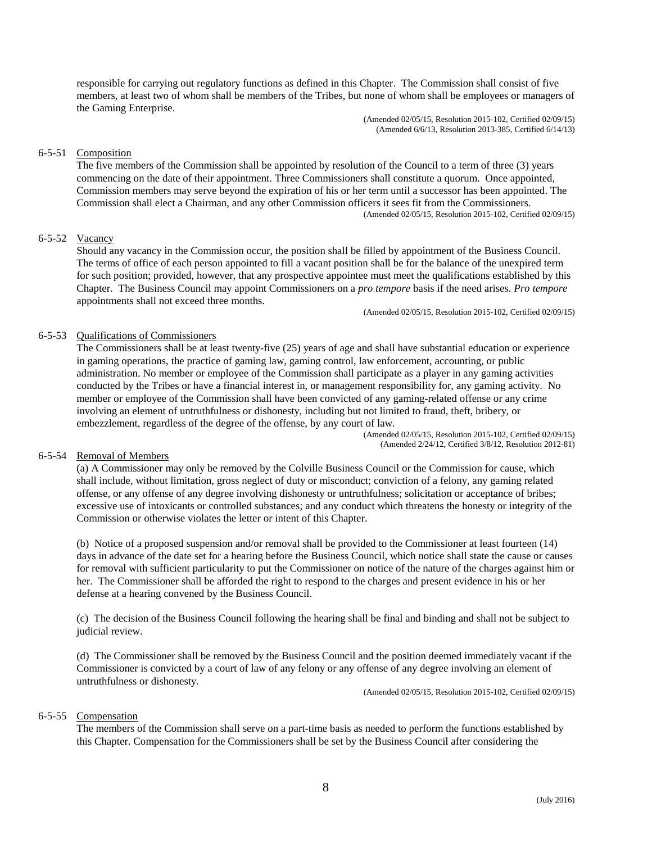responsible for carrying out regulatory functions as defined in this Chapter. The Commission shall consist of five members, at least two of whom shall be members of the Tribes, but none of whom shall be employees or managers of the Gaming Enterprise.

> (Amended 02/05/15, Resolution 2015-102, Certified 02/09/15) (Amended 6/6/13, Resolution 2013-385, Certified 6/14/13)

# 6-5-51 Composition

The five members of the Commission shall be appointed by resolution of the Council to a term of three (3) years commencing on the date of their appointment. Three Commissioners shall constitute a quorum. Once appointed, Commission members may serve beyond the expiration of his or her term until a successor has been appointed. The Commission shall elect a Chairman, and any other Commission officers it sees fit from the Commissioners. (Amended 02/05/15, Resolution 2015-102, Certified 02/09/15)

# 6-5-52 Vacancy

Should any vacancy in the Commission occur, the position shall be filled by appointment of the Business Council. The terms of office of each person appointed to fill a vacant position shall be for the balance of the unexpired term for such position; provided, however, that any prospective appointee must meet the qualifications established by this Chapter. The Business Council may appoint Commissioners on a *pro tempore* basis if the need arises. *Pro tempore* appointments shall not exceed three months.

(Amended 02/05/15, Resolution 2015-102, Certified 02/09/15)

### 6-5-53 Qualifications of Commissioners

The Commissioners shall be at least twenty-five (25) years of age and shall have substantial education or experience in gaming operations, the practice of gaming law, gaming control, law enforcement, accounting, or public administration. No member or employee of the Commission shall participate as a player in any gaming activities conducted by the Tribes or have a financial interest in, or management responsibility for, any gaming activity. No member or employee of the Commission shall have been convicted of any gaming-related offense or any crime involving an element of untruthfulness or dishonesty, including but not limited to fraud, theft, bribery, or embezzlement, regardless of the degree of the offense, by any court of law. (Amended 02/05/15, Resolution 2015-102, Certified 02/09/15)

(Amended 2/24/12, Certified 3/8/12, Resolution 2012-81)

# 6-5-54 Removal of Members

(a) A Commissioner may only be removed by the Colville Business Council or the Commission for cause, which shall include, without limitation, gross neglect of duty or misconduct; conviction of a felony, any gaming related offense, or any offense of any degree involving dishonesty or untruthfulness; solicitation or acceptance of bribes; excessive use of intoxicants or controlled substances; and any conduct which threatens the honesty or integrity of the Commission or otherwise violates the letter or intent of this Chapter.

(b) Notice of a proposed suspension and/or removal shall be provided to the Commissioner at least fourteen (14) days in advance of the date set for a hearing before the Business Council, which notice shall state the cause or causes for removal with sufficient particularity to put the Commissioner on notice of the nature of the charges against him or her. The Commissioner shall be afforded the right to respond to the charges and present evidence in his or her defense at a hearing convened by the Business Council.

(c) The decision of the Business Council following the hearing shall be final and binding and shall not be subject to judicial review.

(d) The Commissioner shall be removed by the Business Council and the position deemed immediately vacant if the Commissioner is convicted by a court of law of any felony or any offense of any degree involving an element of untruthfulness or dishonesty.<br>(Amended 02/05/15, Resolution 2015-102, Certified 02/09/15)

# 6-5-55 Compensation

The members of the Commission shall serve on a part-time basis as needed to perform the functions established by this Chapter. Compensation for the Commissioners shall be set by the Business Council after considering the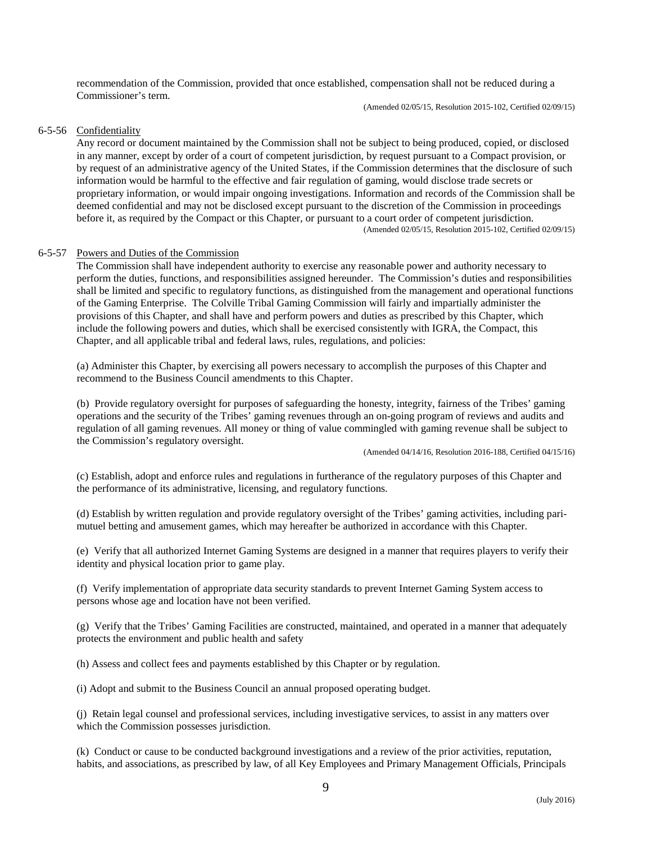recommendation of the Commission, provided that once established, compensation shall not be reduced during a Commissioner's term.

(Amended 02/05/15, Resolution 2015-102, Certified 02/09/15)

# 6-5-56 Confidentiality

Any record or document maintained by the Commission shall not be subject to being produced, copied, or disclosed in any manner, except by order of a court of competent jurisdiction, by request pursuant to a Compact provision, or by request of an administrative agency of the United States, if the Commission determines that the disclosure of such information would be harmful to the effective and fair regulation of gaming, would disclose trade secrets or proprietary information, or would impair ongoing investigations. Information and records of the Commission shall be deemed confidential and may not be disclosed except pursuant to the discretion of the Commission in proceedings before it, as required by the Compact or this Chapter, or pursuant to a court order of competent jurisdiction.<br>(Amended 02/05/15, Resolution 2015-102, Certified 02/09/15)

# 6-5-57 Powers and Duties of the Commission

The Commission shall have independent authority to exercise any reasonable power and authority necessary to perform the duties, functions, and responsibilities assigned hereunder. The Commission's duties and responsibilities shall be limited and specific to regulatory functions, as distinguished from the management and operational functions of the Gaming Enterprise. The Colville Tribal Gaming Commission will fairly and impartially administer the provisions of this Chapter, and shall have and perform powers and duties as prescribed by this Chapter, which include the following powers and duties, which shall be exercised consistently with IGRA, the Compact, this Chapter, and all applicable tribal and federal laws, rules, regulations, and policies:

(a) Administer this Chapter, by exercising all powers necessary to accomplish the purposes of this Chapter and recommend to the Business Council amendments to this Chapter.

(b) Provide regulatory oversight for purposes of safeguarding the honesty, integrity, fairness of the Tribes' gaming operations and the security of the Tribes' gaming revenues through an on-going program of reviews and audits and regulation of all gaming revenues. All money or thing of value commingled with gaming revenue shall be subject to the Commission's regulatory oversight.

(Amended 04/14/16, Resolution 2016-188, Certified 04/15/16)

(c) Establish, adopt and enforce rules and regulations in furtherance of the regulatory purposes of this Chapter and the performance of its administrative, licensing, and regulatory functions.

(d) Establish by written regulation and provide regulatory oversight of the Tribes' gaming activities, including parimutuel betting and amusement games, which may hereafter be authorized in accordance with this Chapter.

(e) Verify that all authorized Internet Gaming Systems are designed in a manner that requires players to verify their identity and physical location prior to game play.

(f) Verify implementation of appropriate data security standards to prevent Internet Gaming System access to persons whose age and location have not been verified.

(g) Verify that the Tribes' Gaming Facilities are constructed, maintained, and operated in a manner that adequately protects the environment and public health and safety

(h) Assess and collect fees and payments established by this Chapter or by regulation.

(i) Adopt and submit to the Business Council an annual proposed operating budget.

(j) Retain legal counsel and professional services, including investigative services, to assist in any matters over which the Commission possesses jurisdiction.

(k) Conduct or cause to be conducted background investigations and a review of the prior activities, reputation, habits, and associations, as prescribed by law, of all Key Employees and Primary Management Officials, Principals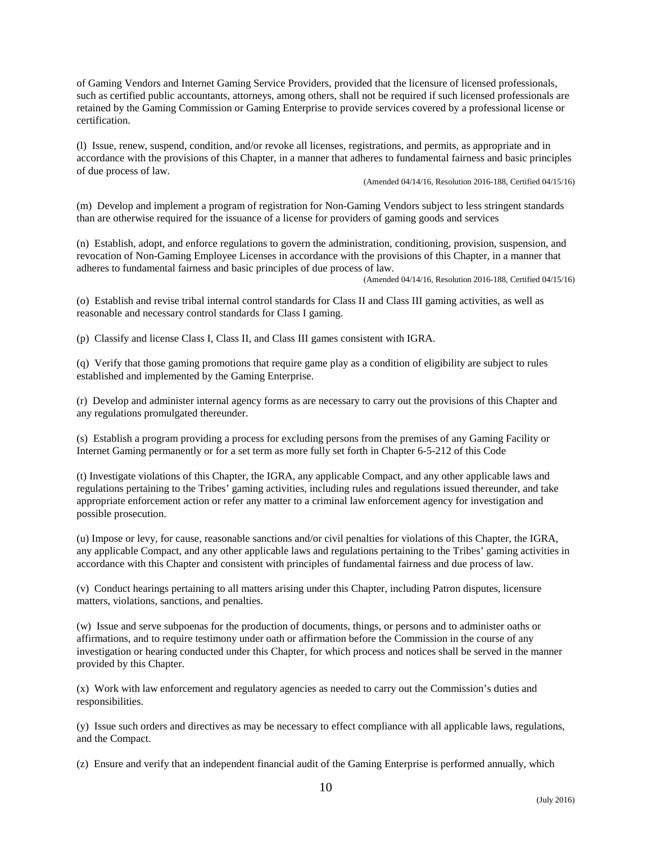of Gaming Vendors and Internet Gaming Service Providers, provided that the licensure of licensed professionals, such as certified public accountants, attorneys, among others, shall not be required if such licensed professionals are retained by the Gaming Commission or Gaming Enterprise to provide services covered by a professional license or certification.

(l) Issue, renew, suspend, condition, and/or revoke all licenses, registrations, and permits, as appropriate and in accordance with the provisions of this Chapter, in a manner that adheres to fundamental fairness and basic principles of due process of law.

(Amended 04/14/16, Resolution 2016-188, Certified 04/15/16)

(m) Develop and implement a program of registration for Non-Gaming Vendors subject to less stringent standards than are otherwise required for the issuance of a license for providers of gaming goods and services

(n) Establish, adopt, and enforce regulations to govern the administration, conditioning, provision, suspension, and revocation of Non-Gaming Employee Licenses in accordance with the provisions of this Chapter, in a manner that adheres to fundamental fairness and basic principles of due process of law.

(Amended 04/14/16, Resolution 2016-188, Certified 04/15/16)

(o) Establish and revise tribal internal control standards for Class II and Class III gaming activities, as well as reasonable and necessary control standards for Class I gaming.

(p) Classify and license Class I, Class II, and Class III games consistent with IGRA.

(q) Verify that those gaming promotions that require game play as a condition of eligibility are subject to rules established and implemented by the Gaming Enterprise.

(r) Develop and administer internal agency forms as are necessary to carry out the provisions of this Chapter and any regulations promulgated thereunder.

(s) Establish a program providing a process for excluding persons from the premises of any Gaming Facility or Internet Gaming permanently or for a set term as more fully set forth in Chapter 6-5-212 of this Code

(t) Investigate violations of this Chapter, the IGRA, any applicable Compact, and any other applicable laws and regulations pertaining to the Tribes' gaming activities, including rules and regulations issued thereunder, and take appropriate enforcement action or refer any matter to a criminal law enforcement agency for investigation and possible prosecution.

(u) Impose or levy, for cause, reasonable sanctions and/or civil penalties for violations of this Chapter, the IGRA, any applicable Compact, and any other applicable laws and regulations pertaining to the Tribes' gaming activities in accordance with this Chapter and consistent with principles of fundamental fairness and due process of law.

(v) Conduct hearings pertaining to all matters arising under this Chapter, including Patron disputes, licensure matters, violations, sanctions, and penalties.

(w) Issue and serve subpoenas for the production of documents, things, or persons and to administer oaths or affirmations, and to require testimony under oath or affirmation before the Commission in the course of any investigation or hearing conducted under this Chapter, for which process and notices shall be served in the manner provided by this Chapter.

(x) Work with law enforcement and regulatory agencies as needed to carry out the Commission's duties and responsibilities.

(y) Issue such orders and directives as may be necessary to effect compliance with all applicable laws, regulations, and the Compact.

(z) Ensure and verify that an independent financial audit of the Gaming Enterprise is performed annually, which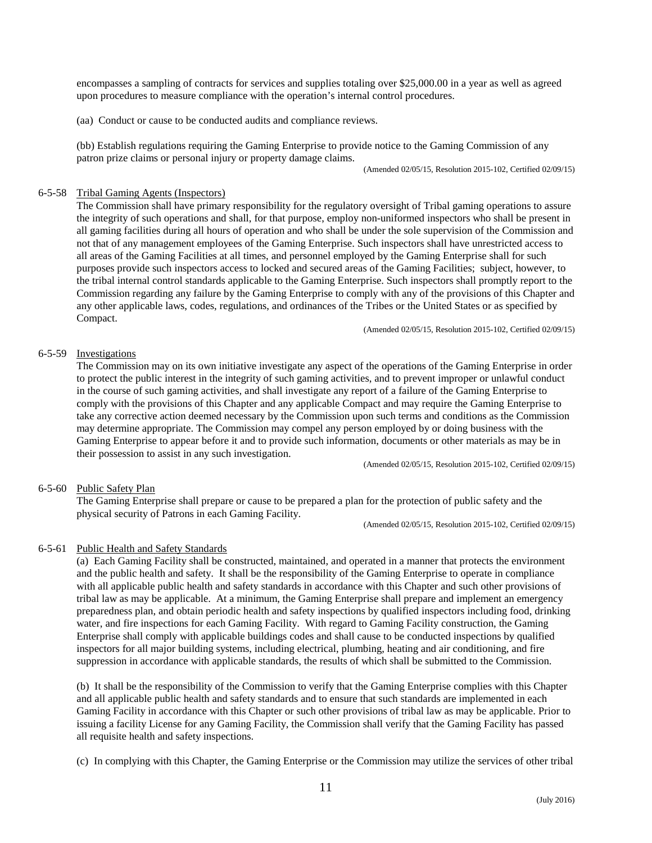encompasses a sampling of contracts for services and supplies totaling over \$25,000.00 in a year as well as agreed upon procedures to measure compliance with the operation's internal control procedures.

(aa) Conduct or cause to be conducted audits and compliance reviews.

(bb) Establish regulations requiring the Gaming Enterprise to provide notice to the Gaming Commission of any patron prize claims or personal injury or property damage claims.

(Amended 02/05/15, Resolution 2015-102, Certified 02/09/15)

# 6-5-58 Tribal Gaming Agents (Inspectors)

The Commission shall have primary responsibility for the regulatory oversight of Tribal gaming operations to assure the integrity of such operations and shall, for that purpose, employ non-uniformed inspectors who shall be present in all gaming facilities during all hours of operation and who shall be under the sole supervision of the Commission and not that of any management employees of the Gaming Enterprise. Such inspectors shall have unrestricted access to all areas of the Gaming Facilities at all times, and personnel employed by the Gaming Enterprise shall for such purposes provide such inspectors access to locked and secured areas of the Gaming Facilities; subject, however, to the tribal internal control standards applicable to the Gaming Enterprise. Such inspectors shall promptly report to the Commission regarding any failure by the Gaming Enterprise to comply with any of the provisions of this Chapter and any other applicable laws, codes, regulations, and ordinances of the Tribes or the United States or as specified by Compact.

(Amended 02/05/15, Resolution 2015-102, Certified 02/09/15)

# 6-5-59 Investigations

The Commission may on its own initiative investigate any aspect of the operations of the Gaming Enterprise in order to protect the public interest in the integrity of such gaming activities, and to prevent improper or unlawful conduct in the course of such gaming activities, and shall investigate any report of a failure of the Gaming Enterprise to comply with the provisions of this Chapter and any applicable Compact and may require the Gaming Enterprise to take any corrective action deemed necessary by the Commission upon such terms and conditions as the Commission may determine appropriate. The Commission may compel any person employed by or doing business with the Gaming Enterprise to appear before it and to provide such information, documents or other materials as may be in their possession to assist in any such investigation.

(Amended 02/05/15, Resolution 2015-102, Certified 02/09/15)

# 6-5-60 Public Safety Plan

The Gaming Enterprise shall prepare or cause to be prepared a plan for the protection of public safety and the physical security of Patrons in each Gaming Facility.

(Amended 02/05/15, Resolution 2015-102, Certified 02/09/15)

# 6-5-61 Public Health and Safety Standards

(a) Each Gaming Facility shall be constructed, maintained, and operated in a manner that protects the environment and the public health and safety. It shall be the responsibility of the Gaming Enterprise to operate in compliance with all applicable public health and safety standards in accordance with this Chapter and such other provisions of tribal law as may be applicable. At a minimum, the Gaming Enterprise shall prepare and implement an emergency preparedness plan, and obtain periodic health and safety inspections by qualified inspectors including food, drinking water, and fire inspections for each Gaming Facility. With regard to Gaming Facility construction, the Gaming Enterprise shall comply with applicable buildings codes and shall cause to be conducted inspections by qualified inspectors for all major building systems, including electrical, plumbing, heating and air conditioning, and fire suppression in accordance with applicable standards, the results of which shall be submitted to the Commission.

(b) It shall be the responsibility of the Commission to verify that the Gaming Enterprise complies with this Chapter and all applicable public health and safety standards and to ensure that such standards are implemented in each Gaming Facility in accordance with this Chapter or such other provisions of tribal law as may be applicable. Prior to issuing a facility License for any Gaming Facility, the Commission shall verify that the Gaming Facility has passed all requisite health and safety inspections.

(c) In complying with this Chapter, the Gaming Enterprise or the Commission may utilize the services of other tribal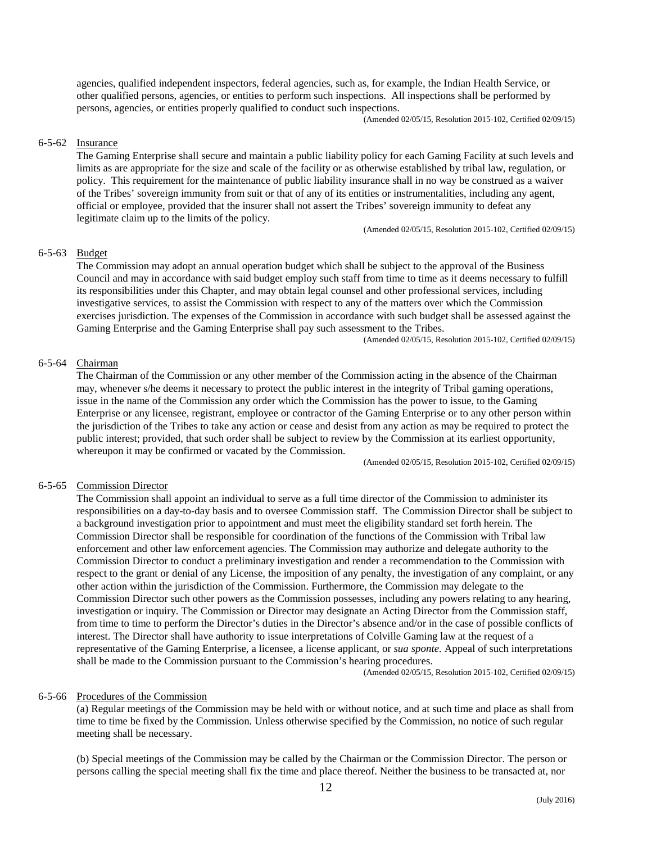agencies, qualified independent inspectors, federal agencies, such as, for example, the Indian Health Service, or other qualified persons, agencies, or entities to perform such inspections. All inspections shall be performed by persons, agencies, or entities properly qualified to conduct such inspections. (Amended 02/05/15, Resolution 2015-102, Certified 02/09/15)

# 6-5-62 Insurance

The Gaming Enterprise shall secure and maintain a public liability policy for each Gaming Facility at such levels and limits as are appropriate for the size and scale of the facility or as otherwise established by tribal law, regulation, or policy. This requirement for the maintenance of public liability insurance shall in no way be construed as a waiver of the Tribes' sovereign immunity from suit or that of any of its entities or instrumentalities, including any agent, official or employee, provided that the insurer shall not assert the Tribes' sovereign immunity to defeat any legitimate claim up to the limits of the policy.

(Amended 02/05/15, Resolution 2015-102, Certified 02/09/15)

# 6-5-63 Budget

The Commission may adopt an annual operation budget which shall be subject to the approval of the Business Council and may in accordance with said budget employ such staff from time to time as it deems necessary to fulfill its responsibilities under this Chapter, and may obtain legal counsel and other professional services, including investigative services, to assist the Commission with respect to any of the matters over which the Commission exercises jurisdiction. The expenses of the Commission in accordance with such budget shall be assessed against the Gaming Enterprise and the Gaming Enterprise shall pay such assessment to the Tribes.

(Amended 02/05/15, Resolution 2015-102, Certified 02/09/15)

# 6-5-64 Chairman

The Chairman of the Commission or any other member of the Commission acting in the absence of the Chairman may, whenever s/he deems it necessary to protect the public interest in the integrity of Tribal gaming operations, issue in the name of the Commission any order which the Commission has the power to issue, to the Gaming Enterprise or any licensee, registrant, employee or contractor of the Gaming Enterprise or to any other person within the jurisdiction of the Tribes to take any action or cease and desist from any action as may be required to protect the public interest; provided, that such order shall be subject to review by the Commission at its earliest opportunity, whereupon it may be confirmed or vacated by the Commission.

(Amended 02/05/15, Resolution 2015-102, Certified 02/09/15)

### 6-5-65 Commission Director

The Commission shall appoint an individual to serve as a full time director of the Commission to administer its responsibilities on a day-to-day basis and to oversee Commission staff. The Commission Director shall be subject to a background investigation prior to appointment and must meet the eligibility standard set forth herein. The Commission Director shall be responsible for coordination of the functions of the Commission with Tribal law enforcement and other law enforcement agencies. The Commission may authorize and delegate authority to the Commission Director to conduct a preliminary investigation and render a recommendation to the Commission with respect to the grant or denial of any License, the imposition of any penalty, the investigation of any complaint, or any other action within the jurisdiction of the Commission. Furthermore, the Commission may delegate to the Commission Director such other powers as the Commission possesses, including any powers relating to any hearing, investigation or inquiry. The Commission or Director may designate an Acting Director from the Commission staff, from time to time to perform the Director's duties in the Director's absence and/or in the case of possible conflicts of interest. The Director shall have authority to issue interpretations of Colville Gaming law at the request of a representative of the Gaming Enterprise, a licensee, a license applicant, or *sua sponte.* Appeal of such interpretations shall be made to the Commission pursuant to the Commission's hearing procedures.

(Amended 02/05/15, Resolution 2015-102, Certified 02/09/15)

### 6-5-66 Procedures of the Commission

(a) Regular meetings of the Commission may be held with or without notice, and at such time and place as shall from time to time be fixed by the Commission. Unless otherwise specified by the Commission, no notice of such regular meeting shall be necessary.

(b) Special meetings of the Commission may be called by the Chairman or the Commission Director. The person or persons calling the special meeting shall fix the time and place thereof. Neither the business to be transacted at, nor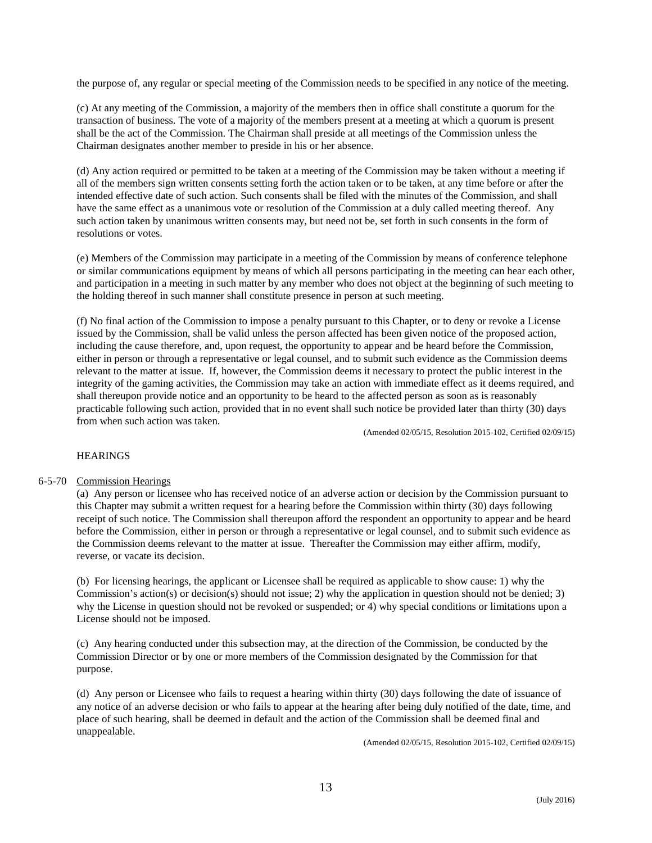the purpose of, any regular or special meeting of the Commission needs to be specified in any notice of the meeting.

(c) At any meeting of the Commission, a majority of the members then in office shall constitute a quorum for the transaction of business. The vote of a majority of the members present at a meeting at which a quorum is present shall be the act of the Commission. The Chairman shall preside at all meetings of the Commission unless the Chairman designates another member to preside in his or her absence.

(d) Any action required or permitted to be taken at a meeting of the Commission may be taken without a meeting if all of the members sign written consents setting forth the action taken or to be taken, at any time before or after the intended effective date of such action. Such consents shall be filed with the minutes of the Commission, and shall have the same effect as a unanimous vote or resolution of the Commission at a duly called meeting thereof. Any such action taken by unanimous written consents may, but need not be, set forth in such consents in the form of resolutions or votes.

(e) Members of the Commission may participate in a meeting of the Commission by means of conference telephone or similar communications equipment by means of which all persons participating in the meeting can hear each other, and participation in a meeting in such matter by any member who does not object at the beginning of such meeting to the holding thereof in such manner shall constitute presence in person at such meeting.

(f) No final action of the Commission to impose a penalty pursuant to this Chapter, or to deny or revoke a License issued by the Commission, shall be valid unless the person affected has been given notice of the proposed action, including the cause therefore, and, upon request, the opportunity to appear and be heard before the Commission, either in person or through a representative or legal counsel, and to submit such evidence as the Commission deems relevant to the matter at issue. If, however, the Commission deems it necessary to protect the public interest in the integrity of the gaming activities, the Commission may take an action with immediate effect as it deems required, and shall thereupon provide notice and an opportunity to be heard to the affected person as soon as is reasonably practicable following such action, provided that in no event shall such notice be provided later than thirty (30) days from when such action was taken.<br>(Amended 02/05/15, Resolution 2015-102, Certified 02/09/15)

# **HEARINGS**

# 6-5-70 Commission Hearings

(a) Any person or licensee who has received notice of an adverse action or decision by the Commission pursuant to this Chapter may submit a written request for a hearing before the Commission within thirty (30) days following receipt of such notice. The Commission shall thereupon afford the respondent an opportunity to appear and be heard before the Commission, either in person or through a representative or legal counsel, and to submit such evidence as the Commission deems relevant to the matter at issue. Thereafter the Commission may either affirm, modify, reverse, or vacate its decision.

(b) For licensing hearings, the applicant or Licensee shall be required as applicable to show cause: 1) why the Commission's action(s) or decision(s) should not issue; 2) why the application in question should not be denied; 3) why the License in question should not be revoked or suspended; or 4) why special conditions or limitations upon a License should not be imposed.

(c) Any hearing conducted under this subsection may, at the direction of the Commission, be conducted by the Commission Director or by one or more members of the Commission designated by the Commission for that purpose.

(d) Any person or Licensee who fails to request a hearing within thirty (30) days following the date of issuance of any notice of an adverse decision or who fails to appear at the hearing after being duly notified of the date, time, and place of such hearing, shall be deemed in default and the action of the Commission shall be deemed final and unappealable.

(Amended 02/05/15, Resolution 2015-102, Certified 02/09/15)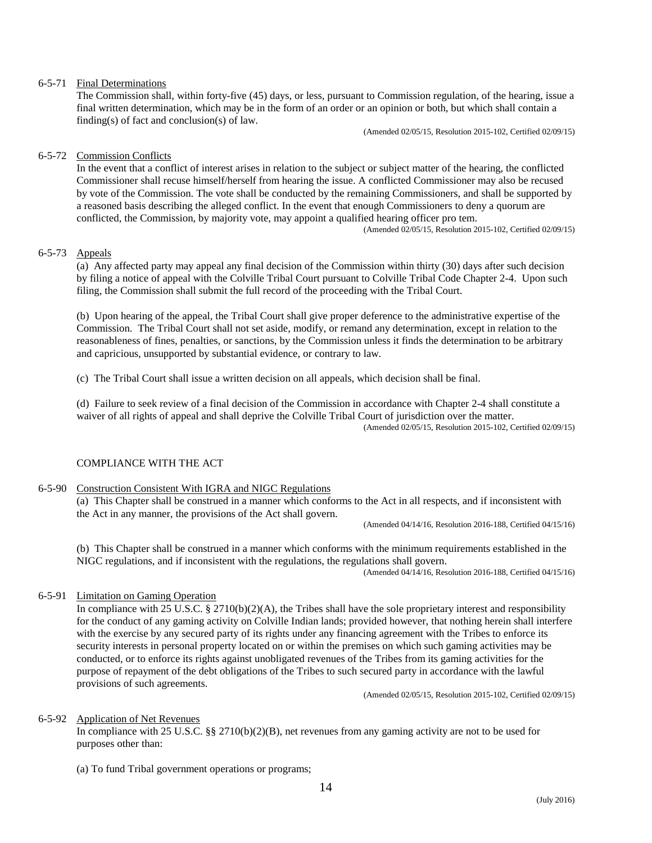# 6-5-71 Final Determinations

The Commission shall, within forty-five (45) days, or less, pursuant to Commission regulation, of the hearing, issue a final written determination, which may be in the form of an order or an opinion or both, but which shall contain a finding(s) of fact and conclusion(s) of law.

(Amended 02/05/15, Resolution 2015-102, Certified 02/09/15)

# 6-5-72 Commission Conflicts

In the event that a conflict of interest arises in relation to the subject or subject matter of the hearing, the conflicted Commissioner shall recuse himself/herself from hearing the issue. A conflicted Commissioner may also be recused by vote of the Commission. The vote shall be conducted by the remaining Commissioners, and shall be supported by a reasoned basis describing the alleged conflict. In the event that enough Commissioners to deny a quorum are conflicted, the Commission, by majority vote, may appoint <sup>a</sup> qualified hearing officer pro tem. (Amended 02/05/15, Resolution 2015-102, Certified 02/09/15)

# 6-5-73 Appeals

(a) Any affected party may appeal any final decision of the Commission within thirty (30) days after such decision by filing a notice of appeal with the Colville Tribal Court pursuant to Colville Tribal Code Chapter 2-4. Upon such filing, the Commission shall submit the full record of the proceeding with the Tribal Court.

(b) Upon hearing of the appeal, the Tribal Court shall give proper deference to the administrative expertise of the Commission. The Tribal Court shall not set aside, modify, or remand any determination, except in relation to the reasonableness of fines, penalties, or sanctions, by the Commission unless it finds the determination to be arbitrary and capricious, unsupported by substantial evidence, or contrary to law.

(c) The Tribal Court shall issue a written decision on all appeals, which decision shall be final.

(d) Failure to seek review of a final decision of the Commission in accordance with Chapter 2-4 shall constitute a waiver of all rights of appeal and shall deprive the Colville Tribal Court of jurisdiction over the matter.<br>(Amended 02/05/15, Resolution 2015-102, Certified 02/09/15)

# COMPLIANCE WITH THE ACT

### 6-5-90 Construction Consistent With IGRA and NIGC Regulations

(a) This Chapter shall be construed in a manner which conforms to the Act in all respects, and if inconsistent with the Act in any manner, the provisions of the Act shall govern.

(Amended 04/14/16, Resolution 2016-188, Certified 04/15/16)

(b) This Chapter shall be construed in a manner which conforms with the minimum requirements established in the NIGC regulations, and if inconsistent with the regulations, the regulations shall govern.

(Amended 04/14/16, Resolution 2016-188, Certified 04/15/16)

# 6-5-91 Limitation on Gaming Operation

In compliance with 25 U.S.C.  $\S$  2710(b)(2)(A), the Tribes shall have the sole proprietary interest and responsibility for the conduct of any gaming activity on Colville Indian lands; provided however, that nothing herein shall interfere with the exercise by any secured party of its rights under any financing agreement with the Tribes to enforce its security interests in personal property located on or within the premises on which such gaming activities may be conducted, or to enforce its rights against unobligated revenues of the Tribes from its gaming activities for the purpose of repayment of the debt obligations of the Tribes to such secured party in accordance with the lawful provisions of such agreements.

(Amended 02/05/15, Resolution 2015-102, Certified 02/09/15)

### 6-5-92 Application of Net Revenues

In compliance with 25 U.S.C. §§ 2710(b)(2)(B), net revenues from any gaming activity are not to be used for purposes other than:

(a) To fund Tribal government operations or programs;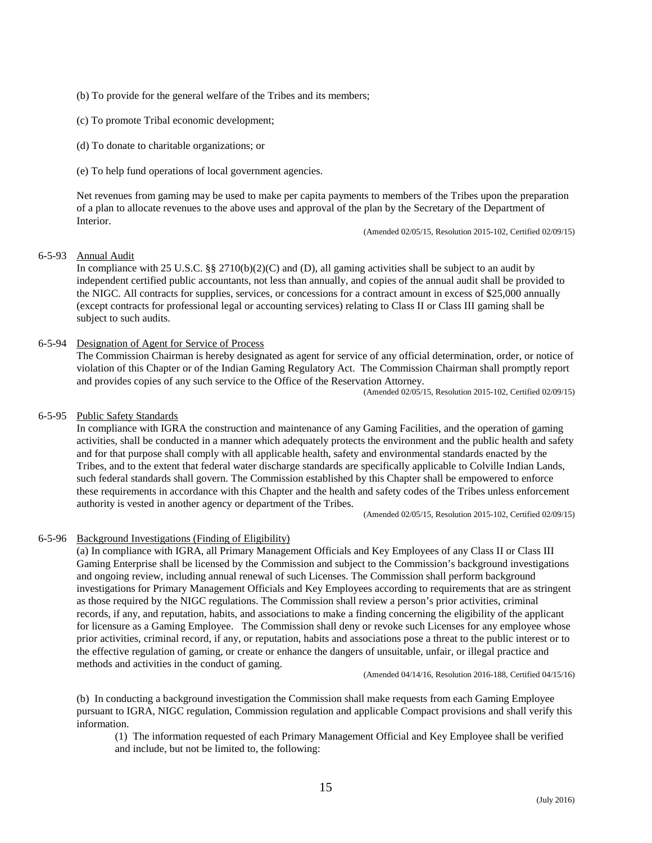- (b) To provide for the general welfare of the Tribes and its members;
- (c) To promote Tribal economic development;
- (d) To donate to charitable organizations; or
- (e) To help fund operations of local government agencies.

Net revenues from gaming may be used to make per capita payments to members of the Tribes upon the preparation of a plan to allocate revenues to the above uses and approval of the plan by the Secretary of the Department of Interior.

(Amended 02/05/15, Resolution 2015-102, Certified 02/09/15)

# 6-5-93 Annual Audit

In compliance with 25 U.S.C. §§ 2710(b)(2)(C) and (D), all gaming activities shall be subject to an audit by independent certified public accountants, not less than annually, and copies of the annual audit shall be provided to the NIGC. All contracts for supplies, services, or concessions for a contract amount in excess of \$25,000 annually (except contracts for professional legal or accounting services) relating to Class II or Class III gaming shall be subject to such audits.

# 6-5-94 Designation of Agent for Service of Process

The Commission Chairman is hereby designated as agent for service of any official determination, order, or notice of violation of this Chapter or of the Indian Gaming Regulatory Act. The Commission Chairman shall promptly report and provides copies of any such service to the Office of the Reservation Attorney.<br>(Amended 02/05/15, Resolution 2015-102, Certified 02/09/15)

# 6-5-95 Public Safety Standards

In compliance with IGRA the construction and maintenance of any Gaming Facilities, and the operation of gaming activities, shall be conducted in a manner which adequately protects the environment and the public health and safety and for that purpose shall comply with all applicable health, safety and environmental standards enacted by the Tribes, and to the extent that federal water discharge standards are specifically applicable to Colville Indian Lands, such federal standards shall govern. The Commission established by this Chapter shall be empowered to enforce these requirements in accordance with this Chapter and the health and safety codes of the Tribes unless enforcement authority is vested in another agency or department of the Tribes.

(Amended 02/05/15, Resolution 2015-102, Certified 02/09/15)

# 6-5-96 Background Investigations (Finding of Eligibility)

(a) In compliance with IGRA, all Primary Management Officials and Key Employees of any Class II or Class III Gaming Enterprise shall be licensed by the Commission and subject to the Commission's background investigations and ongoing review, including annual renewal of such Licenses. The Commission shall perform background investigations for Primary Management Officials and Key Employees according to requirements that are as stringent as those required by the NIGC regulations. The Commission shall review a person's prior activities, criminal records, if any, and reputation, habits, and associations to make a finding concerning the eligibility of the applicant for licensure as a Gaming Employee. The Commission shall deny or revoke such Licenses for any employee whose prior activities, criminal record, if any, or reputation, habits and associations pose a threat to the public interest or to the effective regulation of gaming, or create or enhance the dangers of unsuitable, unfair, or illegal practice and methods and activities in the conduct of gaming.

(Amended 04/14/16, Resolution 2016-188, Certified 04/15/16)

(b) In conducting a background investigation the Commission shall make requests from each Gaming Employee pursuant to IGRA, NIGC regulation, Commission regulation and applicable Compact provisions and shall verify this information.

(1) The information requested of each Primary Management Official and Key Employee shall be verified and include, but not be limited to, the following: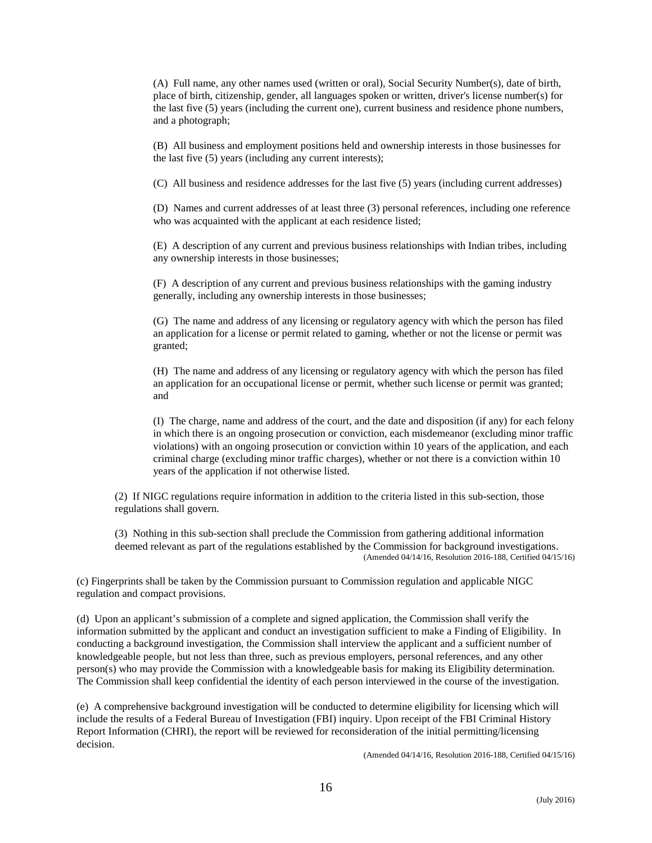(A) Full name, any other names used (written or oral), Social Security Number(s), date of birth, place of birth, citizenship, gender, all languages spoken or written, driver's license number(s) for the last five (5) years (including the current one), current business and residence phone numbers, and a photograph;

(B) All business and employment positions held and ownership interests in those businesses for the last five (5) years (including any current interests);

(C) All business and residence addresses for the last five (5) years (including current addresses)

(D) Names and current addresses of at least three (3) personal references, including one reference who was acquainted with the applicant at each residence listed;

(E) A description of any current and previous business relationships with Indian tribes, including any ownership interests in those businesses;

(F) A description of any current and previous business relationships with the gaming industry generally, including any ownership interests in those businesses;

(G) The name and address of any licensing or regulatory agency with which the person has filed an application for a license or permit related to gaming, whether or not the license or permit was granted;

(H) The name and address of any licensing or regulatory agency with which the person has filed an application for an occupational license or permit, whether such license or permit was granted; and

(I) The charge, name and address of the court, and the date and disposition (if any) for each felony in which there is an ongoing prosecution or conviction, each misdemeanor (excluding minor traffic violations) with an ongoing prosecution or conviction within 10 years of the application, and each criminal charge (excluding minor traffic charges), whether or not there is a conviction within 10 years of the application if not otherwise listed.

(2) If NIGC regulations require information in addition to the criteria listed in this sub-section, those regulations shall govern.

(3) Nothing in this sub-section shall preclude the Commission from gathering additional information deemed relevant as part of the regulations established by the Commission for background investigations. (Amended 04/14/16, Resolution 2016-188, Certified 04/15/16)

(c) Fingerprints shall be taken by the Commission pursuant to Commission regulation and applicable NIGC regulation and compact provisions.

(d) Upon an applicant's submission of a complete and signed application, the Commission shall verify the information submitted by the applicant and conduct an investigation sufficient to make a Finding of Eligibility. In conducting a background investigation, the Commission shall interview the applicant and a sufficient number of knowledgeable people, but not less than three, such as previous employers, personal references, and any other person(s) who may provide the Commission with a knowledgeable basis for making its Eligibility determination. The Commission shall keep confidential the identity of each person interviewed in the course of the investigation.

(e) A comprehensive background investigation will be conducted to determine eligibility for licensing which will include the results of a Federal Bureau of Investigation (FBI) inquiry. Upon receipt of the FBI Criminal History Report Information (CHRI), the report will be reviewed for reconsideration of the initial permitting/licensing decision.

(Amended 04/14/16, Resolution 2016-188, Certified 04/15/16)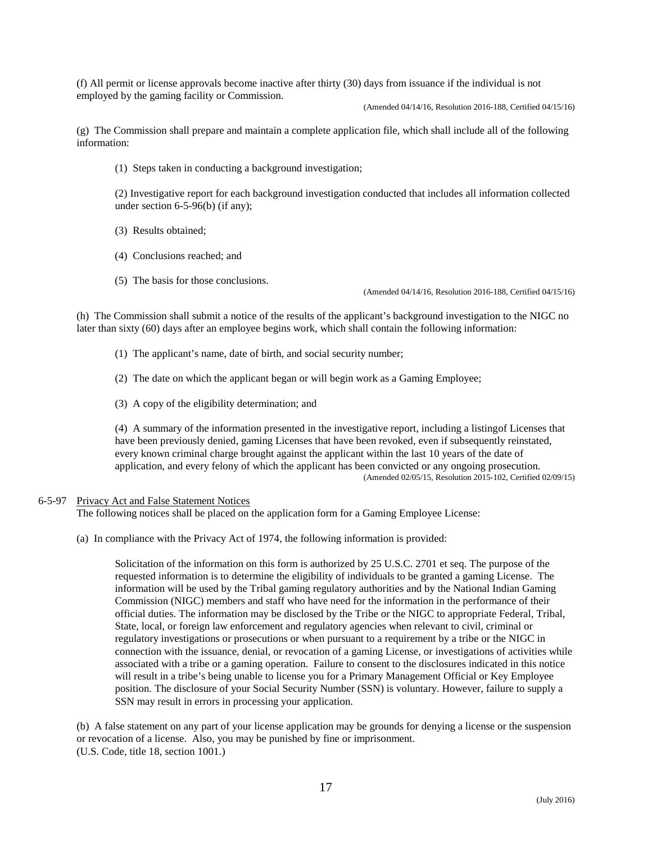(f) All permit or license approvals become inactive after thirty (30) days from issuance if the individual is not employed by the gaming facility or Commission.

(Amended 04/14/16, Resolution 2016-188, Certified 04/15/16)

(g) The Commission shall prepare and maintain a complete application file, which shall include all of the following information:

(1) Steps taken in conducting a background investigation;

(2) Investigative report for each background investigation conducted that includes all information collected under section 6-5-96(b) (if any);

- (3) Results obtained;
- (4) Conclusions reached; and
- (5) The basis for those conclusions.

(Amended 04/14/16, Resolution 2016-188, Certified 04/15/16)

(h) The Commission shall submit a notice of the results of the applicant's background investigation to the NIGC no later than sixty (60) days after an employee begins work, which shall contain the following information:

- (1) The applicant's name, date of birth, and social security number;
- (2) The date on which the applicant began or will begin work as a Gaming Employee;
- (3) A copy of the eligibility determination; and

(4) A summary of the information presented in the investigative report, including a listingof Licenses that have been previously denied, gaming Licenses that have been revoked, even if subsequently reinstated, every known criminal charge brought against the applicant within the last 10 years of the date of application, and every felony of which the applicant has been convicted or any ongoing prosecution. (Amended 02/05/15, Resolution 2015-102, Certified 02/09/15)

# 6-5-97 Privacy Act and False Statement Notices

The following notices shall be placed on the application form for a Gaming Employee License:

(a) In compliance with the Privacy Act of 1974, the following information is provided:

Solicitation of the information on this form is authorized by 25 U.S.C. 2701 et seq. The purpose of the requested information is to determine the eligibility of individuals to be granted a gaming License. The information will be used by the Tribal gaming regulatory authorities and by the National Indian Gaming Commission (NIGC) members and staff who have need for the information in the performance of their official duties. The information may be disclosed by the Tribe or the NIGC to appropriate Federal, Tribal, State, local, or foreign law enforcement and regulatory agencies when relevant to civil, criminal or regulatory investigations or prosecutions or when pursuant to a requirement by a tribe or the NIGC in connection with the issuance, denial, or revocation of a gaming License, or investigations of activities while associated with a tribe or a gaming operation. Failure to consent to the disclosures indicated in this notice will result in a tribe's being unable to license you for a Primary Management Official or Key Employee position. The disclosure of your Social Security Number (SSN) is voluntary. However, failure to supply a SSN may result in errors in processing your application.

(b) A false statement on any part of your license application may be grounds for denying a license or the suspension or revocation of a license. Also, you may be punished by fine or imprisonment. (U.S. Code, title 18, section 1001.)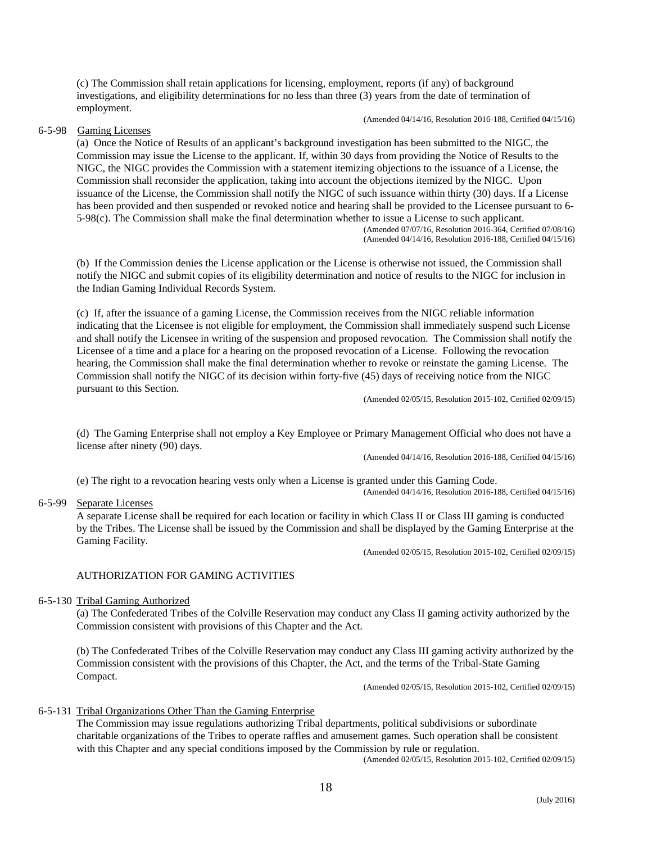(c) The Commission shall retain applications for licensing, employment, reports (if any) of background investigations, and eligibility determinations for no less than three (3) years from the date of termination of employment.

(Amended 04/14/16, Resolution 2016-188, Certified 04/15/16)

# 6-5-98 Gaming Licenses

(a) Once the Notice of Results of an applicant's background investigation has been submitted to the NIGC, the Commission may issue the License to the applicant. If, within 30 days from providing the Notice of Results to the NIGC, the NIGC provides the Commission with a statement itemizing objections to the issuance of a License, the Commission shall reconsider the application, taking into account the objections itemized by the NIGC. Upon issuance of the License, the Commission shall notify the NIGC of such issuance within thirty (30) days. If a License has been provided and then suspended or revoked notice and hearing shall be provided to the Licensee pursuant to 6- 5-98(c). The Commission shall make the final determination whether to issue <sup>a</sup> License to such applicant. (Amended 07/07/16, Resolution 2016-364, Certified 07/08/16)

(Amended 04/14/16, Resolution 2016-188, Certified 04/15/16)

(b) If the Commission denies the License application or the License is otherwise not issued, the Commission shall notify the NIGC and submit copies of its eligibility determination and notice of results to the NIGC for inclusion in the Indian Gaming Individual Records System.

(c) If, after the issuance of a gaming License, the Commission receives from the NIGC reliable information indicating that the Licensee is not eligible for employment, the Commission shall immediately suspend such License and shall notify the Licensee in writing of the suspension and proposed revocation. The Commission shall notify the Licensee of a time and a place for a hearing on the proposed revocation of a License. Following the revocation hearing, the Commission shall make the final determination whether to revoke or reinstate the gaming License. The Commission shall notify the NIGC of its decision within forty-five (45) days of receiving notice from the NIGC pursuant to this Section.<br>(Amended 02/05/15, Resolution 2015-102, Certified 02/09/15)

(d) The Gaming Enterprise shall not employ a Key Employee or Primary Management Official who does not have a license after ninety (90) days.

(Amended 04/14/16, Resolution 2016-188, Certified 04/15/16)

(e) The right to a revocation hearing vests only when a License is granted under this Gaming Code. (Amended 04/14/16, Resolution 2016-188, Certified 04/15/16)

6-5-99 Separate Licenses

A separate License shall be required for each location or facility in which Class II or Class III gaming is conducted by the Tribes. The License shall be issued by the Commission and shall be displayed by the Gaming Enterprise at the Gaming Facility.

(Amended 02/05/15, Resolution 2015-102, Certified 02/09/15)

### AUTHORIZATION FOR GAMING ACTIVITIES

6-5-130 Tribal Gaming Authorized

(a) The Confederated Tribes of the Colville Reservation may conduct any Class II gaming activity authorized by the Commission consistent with provisions of this Chapter and the Act.

(b) The Confederated Tribes of the Colville Reservation may conduct any Class III gaming activity authorized by the Commission consistent with the provisions of this Chapter, the Act, and the terms of the Tribal-State Gaming Compact.

(Amended 02/05/15, Resolution 2015-102, Certified 02/09/15)

#### 6-5-131 Tribal Organizations Other Than the Gaming Enterprise

The Commission may issue regulations authorizing Tribal departments, political subdivisions or subordinate charitable organizations of the Tribes to operate raffles and amusement games. Such operation shall be consistent with this Chapter and any special conditions imposed by the Commission by rule or regulation.

(Amended 02/05/15, Resolution 2015-102, Certified 02/09/15)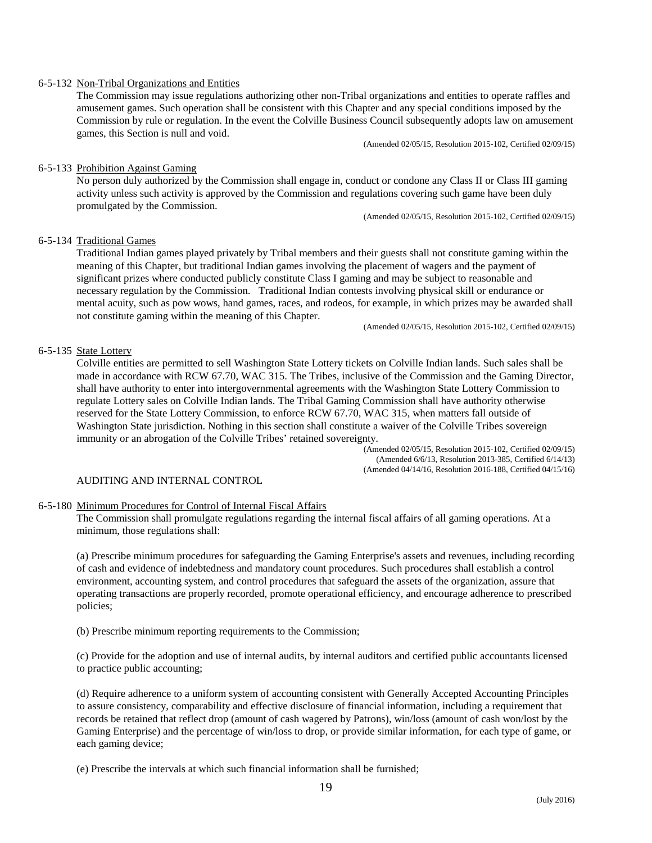# 6-5-132 Non-Tribal Organizations and Entities

The Commission may issue regulations authorizing other non-Tribal organizations and entities to operate raffles and amusement games. Such operation shall be consistent with this Chapter and any special conditions imposed by the Commission by rule or regulation. In the event the Colville Business Council subsequently adopts law on amusement games, this Section is null and void.

(Amended 02/05/15, Resolution 2015-102, Certified 02/09/15)

# 6-5-133 Prohibition Against Gaming

No person duly authorized by the Commission shall engage in, conduct or condone any Class II or Class III gaming activity unless such activity is approved by the Commission and regulations covering such game have been duly promulgated by the Commission.

(Amended 02/05/15, Resolution 2015-102, Certified 02/09/15)

# 6-5-134 Traditional Games

Traditional Indian games played privately by Tribal members and their guests shall not constitute gaming within the meaning of this Chapter, but traditional Indian games involving the placement of wagers and the payment of significant prizes where conducted publicly constitute Class I gaming and may be subject to reasonable and necessary regulation by the Commission. Traditional Indian contests involving physical skill or endurance or mental acuity, such as pow wows, hand games, races, and rodeos, for example, in which prizes may be awarded shall not constitute gaming within the meaning of this Chapter.<br>(Amended 02/05/15, Resolution 2015-102, Certified 02/09/15)

# 6-5-135 State Lottery

Colville entities are permitted to sell Washington State Lottery tickets on Colville Indian lands. Such sales shall be made in accordance with RCW 67.70, WAC 315. The Tribes, inclusive of the Commission and the Gaming Director, shall have authority to enter into intergovernmental agreements with the Washington State Lottery Commission to regulate Lottery sales on Colville Indian lands. The Tribal Gaming Commission shall have authority otherwise reserved for the State Lottery Commission, to enforce RCW 67.70, WAC 315, when matters fall outside of Washington State jurisdiction. Nothing in this section shall constitute a waiver of the Colville Tribes sovereign immunity or an abrogation of the Colville Tribes' retained sovereignty.

(Amended 02/05/15, Resolution 2015-102, Certified 02/09/15) (Amended 6/6/13, Resolution 2013-385, Certified 6/14/13) (Amended 04/14/16, Resolution 2016-188, Certified 04/15/16)

# AUDITING AND INTERNAL CONTROL

### 6-5-180 Minimum Procedures for Control of Internal Fiscal Affairs

The Commission shall promulgate regulations regarding the internal fiscal affairs of all gaming operations. At a minimum, those regulations shall:

(a) Prescribe minimum procedures for safeguarding the Gaming Enterprise's assets and revenues, including recording of cash and evidence of indebtedness and mandatory count procedures. Such procedures shall establish a control environment, accounting system, and control procedures that safeguard the assets of the organization, assure that operating transactions are properly recorded, promote operational efficiency, and encourage adherence to prescribed policies;

(b) Prescribe minimum reporting requirements to the Commission;

(c) Provide for the adoption and use of internal audits, by internal auditors and certified public accountants licensed to practice public accounting;

(d) Require adherence to a uniform system of accounting consistent with Generally Accepted Accounting Principles to assure consistency, comparability and effective disclosure of financial information, including a requirement that records be retained that reflect drop (amount of cash wagered by Patrons), win/loss (amount of cash won/lost by the Gaming Enterprise) and the percentage of win/loss to drop, or provide similar information, for each type of game, or each gaming device;

(e) Prescribe the intervals at which such financial information shall be furnished;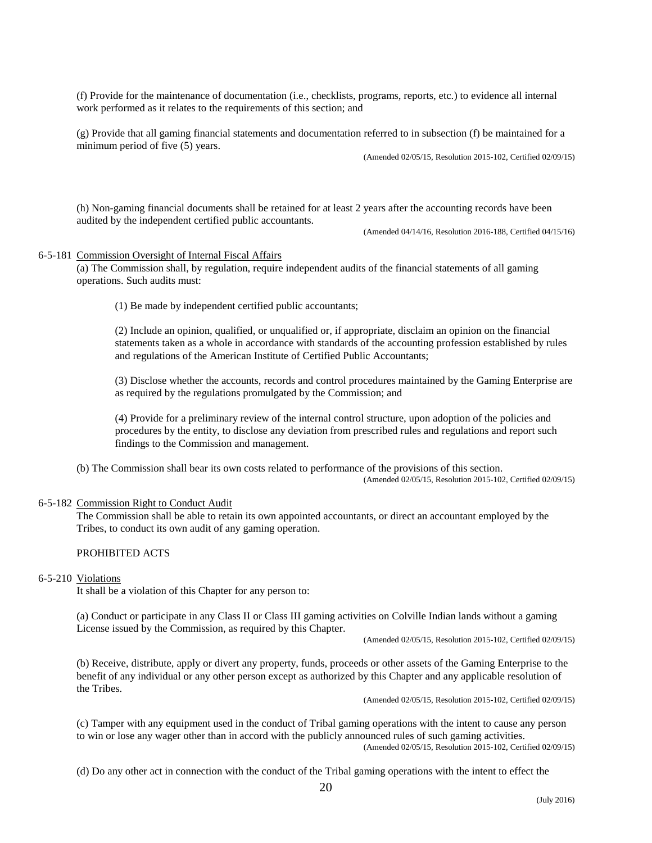(f) Provide for the maintenance of documentation (i.e., checklists, programs, reports, etc.) to evidence all internal work performed as it relates to the requirements of this section; and

(g) Provide that all gaming financial statements and documentation referred to in subsection (f) be maintained for a minimum period of five (5) years.

(Amended 02/05/15, Resolution 2015-102, Certified 02/09/15)

(h) Non-gaming financial documents shall be retained for at least 2 years after the accounting records have been audited by the independent certified public accountants.

(Amended 04/14/16, Resolution 2016-188, Certified 04/15/16)

#### 6-5-181 Commission Oversight of Internal Fiscal Affairs

(a) The Commission shall, by regulation, require independent audits of the financial statements of all gaming operations. Such audits must:

(1) Be made by independent certified public accountants;

(2) Include an opinion, qualified, or unqualified or, if appropriate, disclaim an opinion on the financial statements taken as a whole in accordance with standards of the accounting profession established by rules and regulations of the American Institute of Certified Public Accountants;

(3) Disclose whether the accounts, records and control procedures maintained by the Gaming Enterprise are as required by the regulations promulgated by the Commission; and

(4) Provide for a preliminary review of the internal control structure, upon adoption of the policies and procedures by the entity, to disclose any deviation from prescribed rules and regulations and report such findings to the Commission and management.

(b) The Commission shall bear its own costs related to performance of the provisions of this section. (Amended 02/05/15, Resolution 2015-102, Certified 02/09/15)

## 6-5-182 Commission Right to Conduct Audit

The Commission shall be able to retain its own appointed accountants, or direct an accountant employed by the Tribes, to conduct its own audit of any gaming operation.

### PROHIBITED ACTS

#### 6-5-210 Violations

It shall be a violation of this Chapter for any person to:

(a) Conduct or participate in any Class II or Class III gaming activities on Colville Indian lands without a gaming License issued by the Commission, as required by this Chapter.

(Amended 02/05/15, Resolution 2015-102, Certified 02/09/15)

(b) Receive, distribute, apply or divert any property, funds, proceeds or other assets of the Gaming Enterprise to the benefit of any individual or any other person except as authorized by this Chapter and any applicable resolution of the Tribes.

(Amended 02/05/15, Resolution 2015-102, Certified 02/09/15)

(c) Tamper with any equipment used in the conduct of Tribal gaming operations with the intent to cause any person to win or lose any wager other than in accord with the publicly announced rules of such gaming activities. (Amended 02/05/15, Resolution 2015-102, Certified 02/09/15)

(d) Do any other act in connection with the conduct of the Tribal gaming operations with the intent to effect the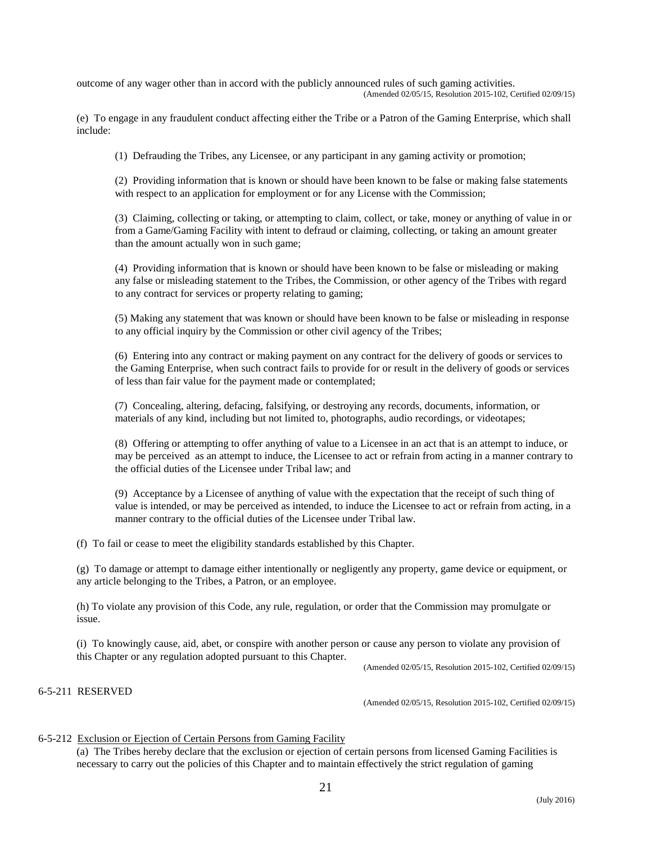outcome of any wager other than in accord with the publicly announced rules of such gaming activities. (Amended 02/05/15, Resolution 2015-102, Certified 02/09/15)

(e) To engage in any fraudulent conduct affecting either the Tribe or a Patron of the Gaming Enterprise, which shall include:

(1) Defrauding the Tribes, any Licensee, or any participant in any gaming activity or promotion;

(2) Providing information that is known or should have been known to be false or making false statements with respect to an application for employment or for any License with the Commission;

(3) Claiming, collecting or taking, or attempting to claim, collect, or take, money or anything of value in or from a Game/Gaming Facility with intent to defraud or claiming, collecting, or taking an amount greater than the amount actually won in such game;

(4) Providing information that is known or should have been known to be false or misleading or making any false or misleading statement to the Tribes, the Commission, or other agency of the Tribes with regard to any contract for services or property relating to gaming;

(5) Making any statement that was known or should have been known to be false or misleading in response to any official inquiry by the Commission or other civil agency of the Tribes;

(6) Entering into any contract or making payment on any contract for the delivery of goods or services to the Gaming Enterprise, when such contract fails to provide for or result in the delivery of goods or services of less than fair value for the payment made or contemplated;

(7) Concealing, altering, defacing, falsifying, or destroying any records, documents, information, or materials of any kind, including but not limited to, photographs, audio recordings, or videotapes;

(8) Offering or attempting to offer anything of value to a Licensee in an act that is an attempt to induce, or may be perceived as an attempt to induce, the Licensee to act or refrain from acting in a manner contrary to the official duties of the Licensee under Tribal law; and

(9) Acceptance by a Licensee of anything of value with the expectation that the receipt of such thing of value is intended, or may be perceived as intended, to induce the Licensee to act or refrain from acting, in a manner contrary to the official duties of the Licensee under Tribal law.

(f) To fail or cease to meet the eligibility standards established by this Chapter.

(g) To damage or attempt to damage either intentionally or negligently any property, game device or equipment, or any article belonging to the Tribes, a Patron, or an employee.

(h) To violate any provision of this Code, any rule, regulation, or order that the Commission may promulgate or issue.

(i) To knowingly cause, aid, abet, or conspire with another person or cause any person to violate any provision of this Chapter or any regulation adopted pursuant to this Chapter.<br>(Amended 02/05/15, Resolution 2015-102, Certified 02/09/15)

# 6-5-211 RESERVED

(Amended 02/05/15, Resolution 2015-102, Certified 02/09/15)

### 6-5-212 Exclusion or Ejection of Certain Persons from Gaming Facility

(a) The Tribes hereby declare that the exclusion or ejection of certain persons from licensed Gaming Facilities is necessary to carry out the policies of this Chapter and to maintain effectively the strict regulation of gaming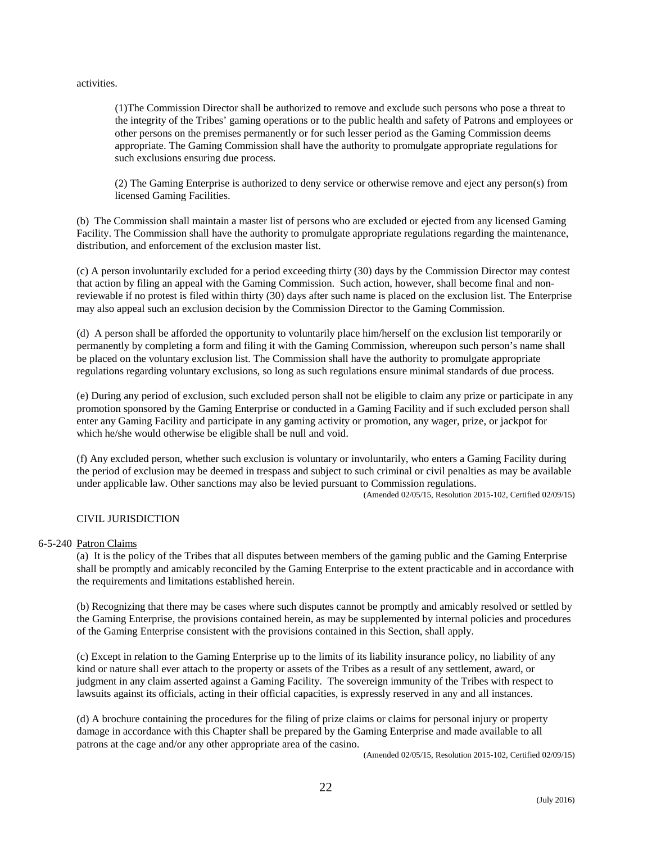activities.

(1)The Commission Director shall be authorized to remove and exclude such persons who pose a threat to the integrity of the Tribes' gaming operations or to the public health and safety of Patrons and employees or other persons on the premises permanently or for such lesser period as the Gaming Commission deems appropriate. The Gaming Commission shall have the authority to promulgate appropriate regulations for such exclusions ensuring due process.

(2) The Gaming Enterprise is authorized to deny service or otherwise remove and eject any person(s) from licensed Gaming Facilities.

(b) The Commission shall maintain a master list of persons who are excluded or ejected from any licensed Gaming Facility. The Commission shall have the authority to promulgate appropriate regulations regarding the maintenance, distribution, and enforcement of the exclusion master list.

(c) A person involuntarily excluded for a period exceeding thirty (30) days by the Commission Director may contest that action by filing an appeal with the Gaming Commission. Such action, however, shall become final and nonreviewable if no protest is filed within thirty (30) days after such name is placed on the exclusion list. The Enterprise may also appeal such an exclusion decision by the Commission Director to the Gaming Commission.

(d) A person shall be afforded the opportunity to voluntarily place him/herself on the exclusion list temporarily or permanently by completing a form and filing it with the Gaming Commission, whereupon such person's name shall be placed on the voluntary exclusion list. The Commission shall have the authority to promulgate appropriate regulations regarding voluntary exclusions, so long as such regulations ensure minimal standards of due process.

(e) During any period of exclusion, such excluded person shall not be eligible to claim any prize or participate in any promotion sponsored by the Gaming Enterprise or conducted in a Gaming Facility and if such excluded person shall enter any Gaming Facility and participate in any gaming activity or promotion, any wager, prize, or jackpot for which he/she would otherwise be eligible shall be null and void.

(f) Any excluded person, whether such exclusion is voluntary or involuntarily, who enters a Gaming Facility during the period of exclusion may be deemed in trespass and subject to such criminal or civil penalties as may be available under applicable law. Other sanctions may also be levied pursuant to Commission regulations. (Amended 02/05/15, Resolution 2015-102, Certified 02/09/15)

# CIVIL JURISDICTION

# 6-5-240 Patron Claims

(a) It is the policy of the Tribes that all disputes between members of the gaming public and the Gaming Enterprise shall be promptly and amicably reconciled by the Gaming Enterprise to the extent practicable and in accordance with the requirements and limitations established herein.

(b) Recognizing that there may be cases where such disputes cannot be promptly and amicably resolved or settled by the Gaming Enterprise, the provisions contained herein, as may be supplemented by internal policies and procedures of the Gaming Enterprise consistent with the provisions contained in this Section, shall apply.

(c) Except in relation to the Gaming Enterprise up to the limits of its liability insurance policy, no liability of any kind or nature shall ever attach to the property or assets of the Tribes as a result of any settlement, award, or judgment in any claim asserted against a Gaming Facility. The sovereign immunity of the Tribes with respect to lawsuits against its officials, acting in their official capacities, is expressly reserved in any and all instances.

(d) A brochure containing the procedures for the filing of prize claims or claims for personal injury or property damage in accordance with this Chapter shall be prepared by the Gaming Enterprise and made available to all patrons at the cage and/or any other appropriate area of the casino.

(Amended 02/05/15, Resolution 2015-102, Certified 02/09/15)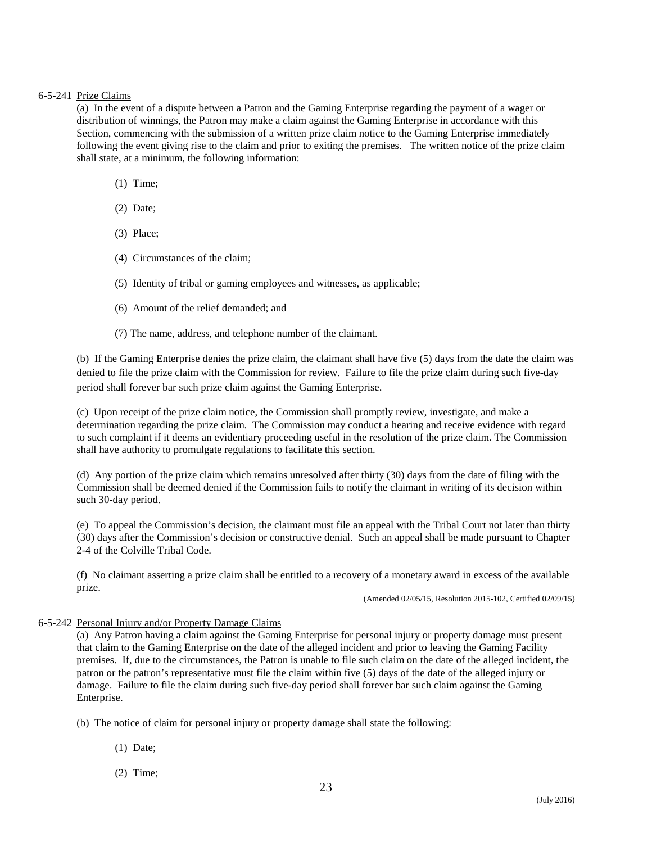# 6-5-241 Prize Claims

(a) In the event of a dispute between a Patron and the Gaming Enterprise regarding the payment of a wager or distribution of winnings, the Patron may make a claim against the Gaming Enterprise in accordance with this Section, commencing with the submission of a written prize claim notice to the Gaming Enterprise immediately following the event giving rise to the claim and prior to exiting the premises. The written notice of the prize claim shall state, at a minimum, the following information:

- (1) Time;
- (2) Date;
- (3) Place;
- (4) Circumstances of the claim;
- (5) Identity of tribal or gaming employees and witnesses, as applicable;
- (6) Amount of the relief demanded; and
- (7) The name, address, and telephone number of the claimant.

(b) If the Gaming Enterprise denies the prize claim, the claimant shall have five (5) days from the date the claim was denied to file the prize claim with the Commission for review. Failure to file the prize claim during such five-day period shall forever bar such prize claim against the Gaming Enterprise.

(c) Upon receipt of the prize claim notice, the Commission shall promptly review, investigate, and make a determination regarding the prize claim. The Commission may conduct a hearing and receive evidence with regard to such complaint if it deems an evidentiary proceeding useful in the resolution of the prize claim. The Commission shall have authority to promulgate regulations to facilitate this section.

(d) Any portion of the prize claim which remains unresolved after thirty (30) days from the date of filing with the Commission shall be deemed denied if the Commission fails to notify the claimant in writing of its decision within such 30-day period.

(e) To appeal the Commission's decision, the claimant must file an appeal with the Tribal Court not later than thirty (30) days after the Commission's decision or constructive denial. Such an appeal shall be made pursuant to Chapter 2-4 of the Colville Tribal Code.

(f) No claimant asserting a prize claim shall be entitled to a recovery of a monetary award in excess of the available prize.

(Amended 02/05/15, Resolution 2015-102, Certified 02/09/15)

# 6-5-242 Personal Injury and/or Property Damage Claims

(a) Any Patron having a claim against the Gaming Enterprise for personal injury or property damage must present that claim to the Gaming Enterprise on the date of the alleged incident and prior to leaving the Gaming Facility premises. If, due to the circumstances, the Patron is unable to file such claim on the date of the alleged incident, the patron or the patron's representative must file the claim within five (5) days of the date of the alleged injury or damage. Failure to file the claim during such five-day period shall forever bar such claim against the Gaming Enterprise.

- (b) The notice of claim for personal injury or property damage shall state the following:
	- (1) Date;
	- (2) Time;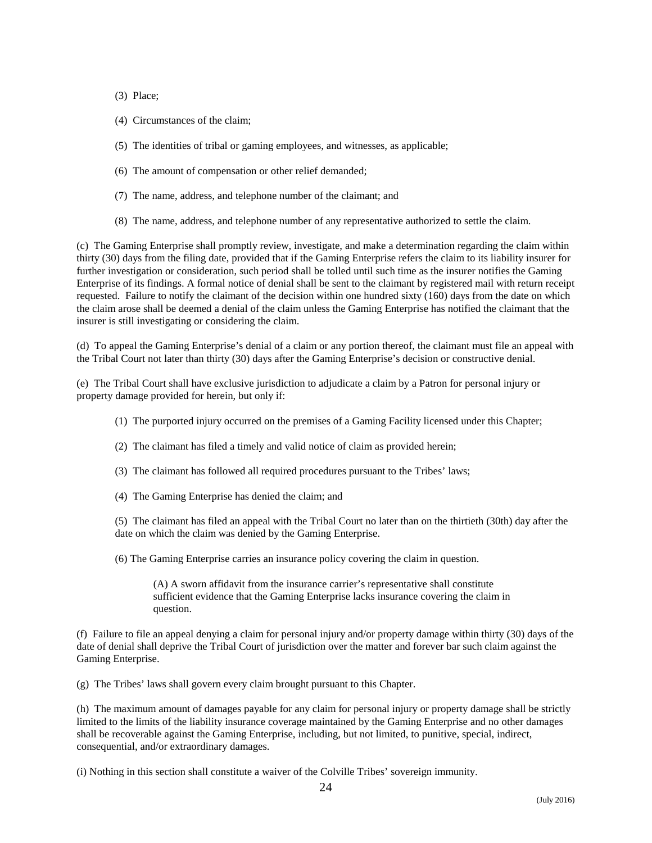(3) Place;

- (4) Circumstances of the claim;
- (5) The identities of tribal or gaming employees, and witnesses, as applicable;
- (6) The amount of compensation or other relief demanded;
- (7) The name, address, and telephone number of the claimant; and
- (8) The name, address, and telephone number of any representative authorized to settle the claim.

(c) The Gaming Enterprise shall promptly review, investigate, and make a determination regarding the claim within thirty (30) days from the filing date, provided that if the Gaming Enterprise refers the claim to its liability insurer for further investigation or consideration, such period shall be tolled until such time as the insurer notifies the Gaming Enterprise of its findings. A formal notice of denial shall be sent to the claimant by registered mail with return receipt requested. Failure to notify the claimant of the decision within one hundred sixty (160) days from the date on which the claim arose shall be deemed a denial of the claim unless the Gaming Enterprise has notified the claimant that the insurer is still investigating or considering the claim.

(d) To appeal the Gaming Enterprise's denial of a claim or any portion thereof, the claimant must file an appeal with the Tribal Court not later than thirty (30) days after the Gaming Enterprise's decision or constructive denial.

(e) The Tribal Court shall have exclusive jurisdiction to adjudicate a claim by a Patron for personal injury or property damage provided for herein, but only if:

- (1) The purported injury occurred on the premises of a Gaming Facility licensed under this Chapter;
- (2) The claimant has filed a timely and valid notice of claim as provided herein;
- (3) The claimant has followed all required procedures pursuant to the Tribes' laws;
- (4) The Gaming Enterprise has denied the claim; and

(5) The claimant has filed an appeal with the Tribal Court no later than on the thirtieth (30th) day after the date on which the claim was denied by the Gaming Enterprise.

(6) The Gaming Enterprise carries an insurance policy covering the claim in question.

(A) A sworn affidavit from the insurance carrier's representative shall constitute sufficient evidence that the Gaming Enterprise lacks insurance covering the claim in question.

(f) Failure to file an appeal denying a claim for personal injury and/or property damage within thirty (30) days of the date of denial shall deprive the Tribal Court of jurisdiction over the matter and forever bar such claim against the Gaming Enterprise.

(g) The Tribes' laws shall govern every claim brought pursuant to this Chapter.

(h) The maximum amount of damages payable for any claim for personal injury or property damage shall be strictly limited to the limits of the liability insurance coverage maintained by the Gaming Enterprise and no other damages shall be recoverable against the Gaming Enterprise, including, but not limited, to punitive, special, indirect, consequential, and/or extraordinary damages.

(i) Nothing in this section shall constitute a waiver of the Colville Tribes' sovereign immunity.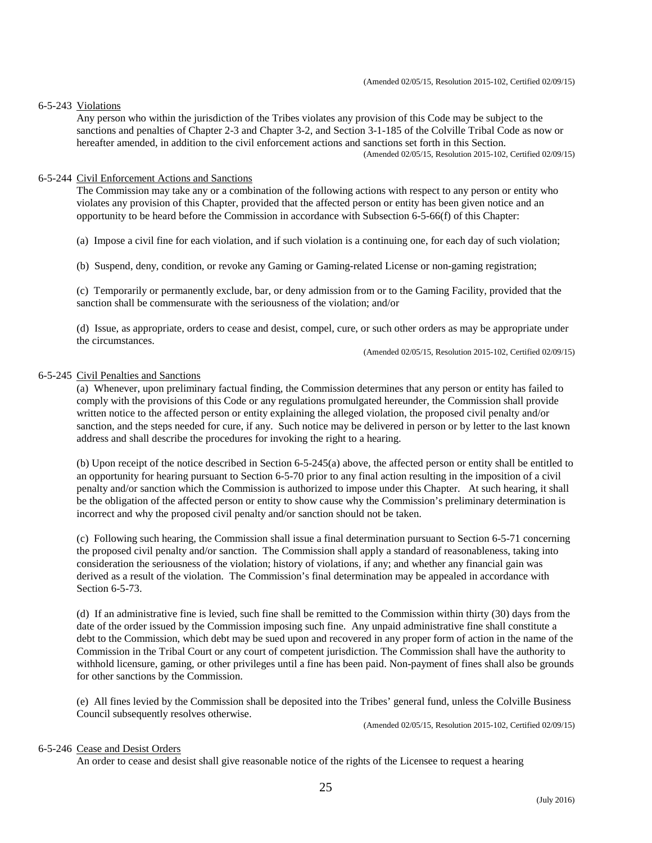### 6-5-243 Violations

Any person who within the jurisdiction of the Tribes violates any provision of this Code may be subject to the sanctions and penalties of Chapter 2-3 and Chapter 3-2, and Section 3-1-185 of the Colville Tribal Code as now or hereafter amended, in addition to the civil enforcement actions and sanctions set forth in this Section.<br>(Amended 02/05/15, Resolution 2015-102, Certified 02/09/15)

# 6-5-244 Civil Enforcement Actions and Sanctions

The Commission may take any or a combination of the following actions with respect to any person or entity who violates any provision of this Chapter, provided that the affected person or entity has been given notice and an opportunity to be heard before the Commission in accordance with Subsection 6-5-66(f) of this Chapter:

(a) Impose a civil fine for each violation, and if such violation is a continuing one, for each day of such violation;

(b) Suspend, deny, condition, or revoke any Gaming or Gaming-related License or non-gaming registration;

(c) Temporarily or permanently exclude, bar, or deny admission from or to the Gaming Facility, provided that the sanction shall be commensurate with the seriousness of the violation; and/or

(d) Issue, as appropriate, orders to cease and desist, compel, cure, or such other orders as may be appropriate under the circumstances.<br>
(Amended 02/05/15, Resolution 2015-102, Certified 02/09/15)

# 6-5-245 Civil Penalties and Sanctions

(a) Whenever, upon preliminary factual finding, the Commission determines that any person or entity has failed to comply with the provisions of this Code or any regulations promulgated hereunder, the Commission shall provide written notice to the affected person or entity explaining the alleged violation, the proposed civil penalty and/or sanction, and the steps needed for cure, if any. Such notice may be delivered in person or by letter to the last known address and shall describe the procedures for invoking the right to a hearing.

(b) Upon receipt of the notice described in Section 6-5-245(a) above, the affected person or entity shall be entitled to an opportunity for hearing pursuant to Section 6-5-70 prior to any final action resulting in the imposition of a civil penalty and/or sanction which the Commission is authorized to impose under this Chapter. At such hearing, it shall be the obligation of the affected person or entity to show cause why the Commission's preliminary determination is incorrect and why the proposed civil penalty and/or sanction should not be taken.

(c) Following such hearing, the Commission shall issue a final determination pursuant to Section 6-5-71 concerning the proposed civil penalty and/or sanction. The Commission shall apply a standard of reasonableness, taking into consideration the seriousness of the violation; history of violations, if any; and whether any financial gain was derived as a result of the violation. The Commission's final determination may be appealed in accordance with Section 6-5-73.

(d) If an administrative fine is levied, such fine shall be remitted to the Commission within thirty (30) days from the date of the order issued by the Commission imposing such fine. Any unpaid administrative fine shall constitute a debt to the Commission, which debt may be sued upon and recovered in any proper form of action in the name of the Commission in the Tribal Court or any court of competent jurisdiction. The Commission shall have the authority to withhold licensure, gaming, or other privileges until a fine has been paid. Non-payment of fines shall also be grounds for other sanctions by the Commission.

(e) All fines levied by the Commission shall be deposited into the Tribes' general fund, unless the Colville Business Council subsequently resolves otherwise.

(Amended 02/05/15, Resolution 2015-102, Certified 02/09/15)

# 6-5-246 Cease and Desist Orders

An order to cease and desist shall give reasonable notice of the rights of the Licensee to request a hearing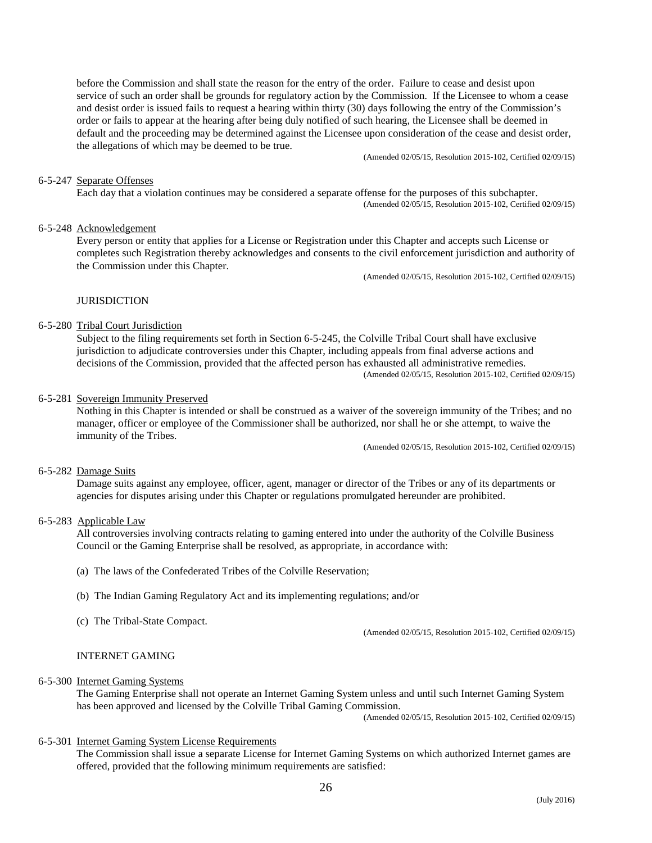before the Commission and shall state the reason for the entry of the order. Failure to cease and desist upon service of such an order shall be grounds for regulatory action by the Commission. If the Licensee to whom a cease and desist order is issued fails to request a hearing within thirty (30) days following the entry of the Commission's order or fails to appear at the hearing after being duly notified of such hearing, the Licensee shall be deemed in default and the proceeding may be determined against the Licensee upon consideration of the cease and desist order, the allegations of which may be deemed to be true.<br>(Amended 02/05/15, Resolution 2015-102, Certified 02/09/15)

#### 6-5-247 Separate Offenses

Each day that a violation continues may be considered a separate offense for the purposes of this subchapter. (Amended 02/05/15, Resolution 2015-102, Certified 02/09/15)

# 6-5-248 Acknowledgement

Every person or entity that applies for a License or Registration under this Chapter and accepts such License or completes such Registration thereby acknowledges and consents to the civil enforcement jurisdiction and authority of the Commission under this Chapter.<br>(Amended 02/05/15, Resolution 2015-102, Certified 02/09/15)

#### **JURISDICTION**

#### 6-5-280 Tribal Court Jurisdiction

Subject to the filing requirements set forth in Section 6-5-245, the Colville Tribal Court shall have exclusive jurisdiction to adjudicate controversies under this Chapter, including appeals from final adverse actions and decisions of the Commission, provided that the affected person has exhausted all administrative remedies. (Amended 02/05/15, Resolution 2015-102, Certified 02/09/15)

#### 6-5-281 Sovereign Immunity Preserved

Nothing in this Chapter is intended or shall be construed as a waiver of the sovereign immunity of the Tribes; and no manager, officer or employee of the Commissioner shall be authorized, nor shall he or she attempt, to waive the immunity of the Tribes.

(Amended 02/05/15, Resolution 2015-102, Certified 02/09/15)

#### 6-5-282 Damage Suits

Damage suits against any employee, officer, agent, manager or director of the Tribes or any of its departments or agencies for disputes arising under this Chapter or regulations promulgated hereunder are prohibited.

# 6-5-283 Applicable Law

All controversies involving contracts relating to gaming entered into under the authority of the Colville Business Council or the Gaming Enterprise shall be resolved, as appropriate, in accordance with:

- (a) The laws of the Confederated Tribes of the Colville Reservation;
- (b) The Indian Gaming Regulatory Act and its implementing regulations; and/or
- 

(c) The Tribal-State Compact. (Amended 02/05/15, Resolution 2015-102, Certified 02/09/15)

# INTERNET GAMING

# 6-5-300 Internet Gaming Systems

The Gaming Enterprise shall not operate an Internet Gaming System unless and until such Internet Gaming System has been approved and licensed by the Colville Tribal Gaming Commission.

(Amended 02/05/15, Resolution 2015-102, Certified 02/09/15)

#### 6-5-301 Internet Gaming System License Requirements

The Commission shall issue a separate License for Internet Gaming Systems on which authorized Internet games are offered, provided that the following minimum requirements are satisfied: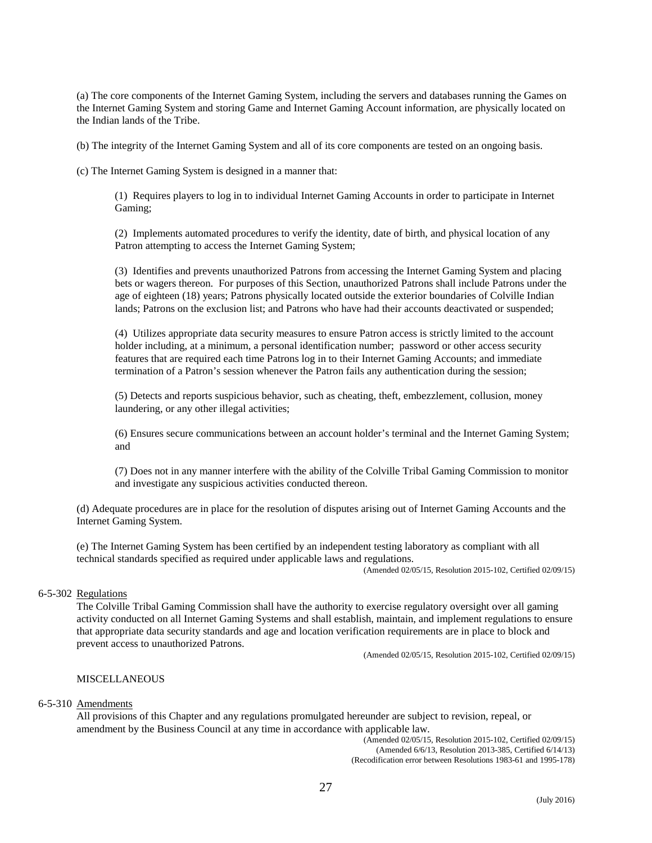(a) The core components of the Internet Gaming System, including the servers and databases running the Games on the Internet Gaming System and storing Game and Internet Gaming Account information, are physically located on the Indian lands of the Tribe.

(b) The integrity of the Internet Gaming System and all of its core components are tested on an ongoing basis.

(c) The Internet Gaming System is designed in a manner that:

(1) Requires players to log in to individual Internet Gaming Accounts in order to participate in Internet Gaming;

(2) Implements automated procedures to verify the identity, date of birth, and physical location of any Patron attempting to access the Internet Gaming System;

(3) Identifies and prevents unauthorized Patrons from accessing the Internet Gaming System and placing bets or wagers thereon. For purposes of this Section, unauthorized Patrons shall include Patrons under the age of eighteen (18) years; Patrons physically located outside the exterior boundaries of Colville Indian lands; Patrons on the exclusion list; and Patrons who have had their accounts deactivated or suspended;

(4) Utilizes appropriate data security measures to ensure Patron access is strictly limited to the account holder including, at a minimum, a personal identification number; password or other access security features that are required each time Patrons log in to their Internet Gaming Accounts; and immediate termination of a Patron's session whenever the Patron fails any authentication during the session;

(5) Detects and reports suspicious behavior, such as cheating, theft, embezzlement, collusion, money laundering, or any other illegal activities;

(6) Ensures secure communications between an account holder's terminal and the Internet Gaming System; and

(7) Does not in any manner interfere with the ability of the Colville Tribal Gaming Commission to monitor and investigate any suspicious activities conducted thereon.

(d) Adequate procedures are in place for the resolution of disputes arising out of Internet Gaming Accounts and the Internet Gaming System.

(e) The Internet Gaming System has been certified by an independent testing laboratory as compliant with all technical standards specified as required under applicable laws and regulations.

(Amended 02/05/15, Resolution 2015-102, Certified 02/09/15)

#### 6-5-302 Regulations

The Colville Tribal Gaming Commission shall have the authority to exercise regulatory oversight over all gaming activity conducted on all Internet Gaming Systems and shall establish, maintain, and implement regulations to ensure that appropriate data security standards and age and location verification requirements are in place to block and prevent access to unauthorized Patrons.

(Amended 02/05/15, Resolution 2015-102, Certified 02/09/15)

### MISCELLANEOUS

# 6-5-310 Amendments

All provisions of this Chapter and any regulations promulgated hereunder are subject to revision, repeal, or amendment by the Business Council at any time in accordance with applicable law.

(Amended 02/05/15, Resolution 2015-102, Certified 02/09/15) (Amended 6/6/13, Resolution 2013-385, Certified 6/14/13) (Recodification error between Resolutions 1983-61 and 1995-178)